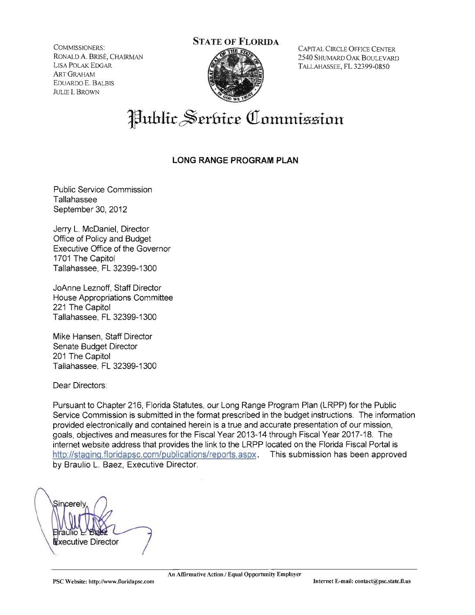COMMISSIONERS: RONALD A. BRISÉ, CHAIRMAN LISA POLAK EDGAR **ART GRAHAM** EDUARDO E. BALBIS **JULIE I. BROWN** 

## **STATE OF FLORIDA**



CAPITAL CIRCLE OFFICE CENTER 2540 SHUMARD OAK BOULEVARD TALLAHASSEE, FL 32399-0850

# **Public Serbice Commission**

### **LONG RANGE PROGRAM PLAN**

**Public Service Commission** Tallahassee September 30, 2012

Jerry L. McDaniel, Director Office of Policy and Budget **Executive Office of the Governor** 1701 The Capitol Tallahassee, FL 32399-1300

JoAnne Leznoff. Staff Director House Appropriations Committee 221 The Capitol Tallahassee, FL 32399-1300

Mike Hansen, Staff Director Senate Budget Director 201 The Capitol Tallahassee, FL 32399-1300

Dear Directors:

Pursuant to Chapter 216, Florida Statutes, our Long Range Program Plan (LRPP) for the Public Service Commission is submitted in the format prescribed in the budget instructions. The information provided electronically and contained herein is a true and accurate presentation of our mission, goals, objectives and measures for the Fiscal Year 2013-14 through Fiscal Year 2017-18. The internet website address that provides the link to the LRPP located on the Florida Fiscal Portal is http://staging.floridapsc.com/publications/reports.aspx. This submission has been approved by Braulio L. Baez, Executive Director.

Sincere Vxecutive Director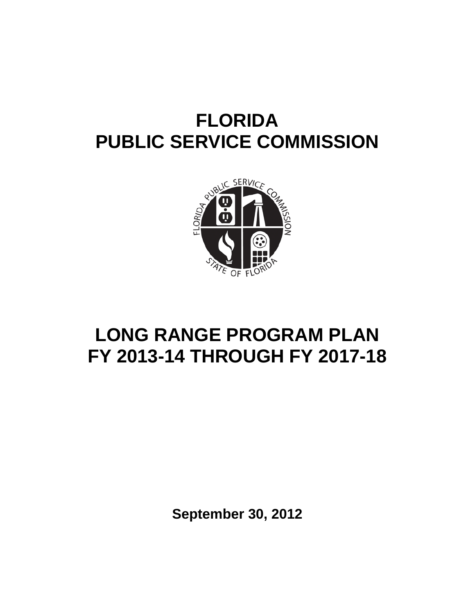

# **LONG RANGE PROGRAM PLAN FY 2013-14 THROUGH FY 2017-18**

**September 30, 2012**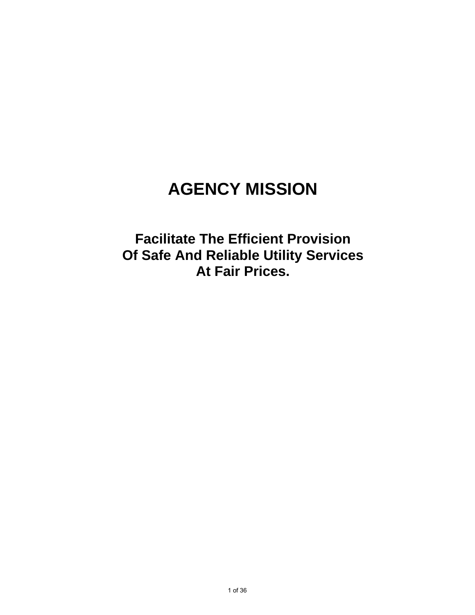# **AGENCY MISSION**

**Facilitate The Efficient Provision Of Safe And Reliable Utility Services At Fair Prices.**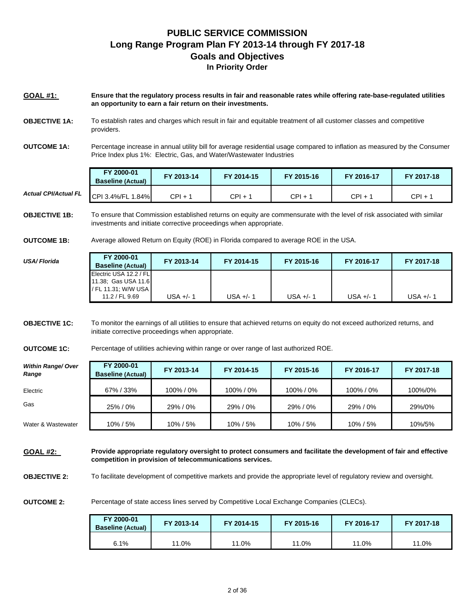### **PUBLIC SERVICE COMMISSION Long Range Program Plan FY 2013-14 through FY 2017-18 Goals and Objectives In Priority Order**

**GOAL #1: Ensure that the regulatory process results in fair and reasonable rates while offering rate-base-regulated utilities an opportunity to earn a fair return on their investments.** 

- **OBJECTIVE 1A:** To establish rates and charges which result in fair and equitable treatment of all customer classes and competitive providers.
- **OUTCOME 1A:** Percentage increase in annual utility bill for average residential usage compared to inflation as measured by the Consumer Price Index plus 1%: Electric, Gas, and Water/Wastewater Industries

|                             | FY 2000-01<br><b>Baseline (Actual)</b> | FY 2013-14 | FY 2014-15 | FY 2015-16 | FY 2016-17 | FY 2017-18 |
|-----------------------------|----------------------------------------|------------|------------|------------|------------|------------|
| <b>Actual CPI/Actual FL</b> | CPI 3.4%/FL 1.<br>.84%                 | CPI + 1    | $CPI + 1$  | CPI +      | CPI+       | CPI + 1    |

**OBJECTIVE 1B:** To ensure that Commission established returns on equity are commensurate with the level of risk associated with similar investments and initiate corrective proceedings when appropriate.

**OUTCOME 1B:** Average allowed Return on Equity (ROE) in Florida compared to average ROE in the USA.

| USA/Florida | FY 2000-01<br><b>Baseline (Actual)</b>                               | FY 2013-14 | FY 2014-15 | FY 2015-16  | FY 2016-17 | FY 2017-18  |
|-------------|----------------------------------------------------------------------|------------|------------|-------------|------------|-------------|
|             | Electric USA 12.2 / FL<br>11.38; Gas USA 11.6<br>/ FL 11.31: W/W USA |            |            |             |            |             |
|             | 11.2 / FL 9.69                                                       | USA +/- 1  | USA +/- 1  | $USA +/- 1$ | USA +/- 1  | $USA +/- 1$ |

**OBJECTIVE 1C:** To monitor the earnings of all utilities to ensure that achieved returns on equity do not exceed authorized returns, and initiate corrective proceedings when appropriate.

**OUTCOME 1C:** Percentage of utilities achieving within range or over range of last authorized ROE.

| <b>Within Range/ Over</b><br>Range | FY 2000-01<br><b>Baseline (Actual)</b> | FY 2013-14 | FY 2014-15 | FY 2015-16 | FY 2016-17 | FY 2017-18 |
|------------------------------------|----------------------------------------|------------|------------|------------|------------|------------|
| Electric                           | 67%/33%                                | 100%/0%    | 100%/0%    | 100% / 0%  | 100%/0%    | 100%/0%    |
| Gas                                | 25%/0%                                 | 29%/0%     | 29%/0%     | 29%/0%     | 29%/0%     | 29%/0%     |
| Water & Wastewater                 | 10% / 5%                               | 10% / 5%   | 10%/5%     | 10% / 5%   | 10%/5%     | 10%/5%     |

**GOAL #2: Provide appropriate regulatory oversight to protect consumers and facilitate the development of fair and effective competition in provision of telecommunications services.** 

**OBJECTIVE 2:** To facilitate development of competitive markets and provide the appropriate level of regulatory review and oversight.

**OUTCOME 2:**

Percentage of state access lines served by Competitive Local Exchange Companies (CLECs).

| FY 2000-01<br><b>Baseline (Actual)</b> | FY 2013-14 | FY 2014-15 | FY 2015-16 | FY 2016-17 | FY 2017-18 |
|----------------------------------------|------------|------------|------------|------------|------------|
| 6.1%                                   | $.0\%$     | 11.0%      | 11.0%      | 11.0%      | 11.0%      |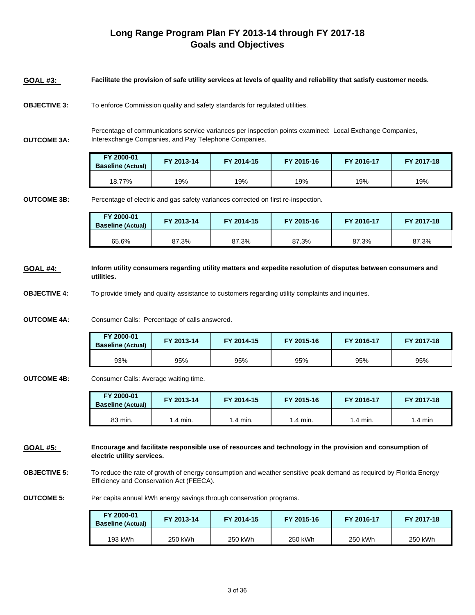## **Long Range Program Plan FY 2013-14 through FY 2017-18 Goals and Objectives**

- **GOAL #3: Facilitate the provision of safe utility services at levels of quality and reliability that satisfy customer needs.**
- **OBJECTIVE 3:** To enforce Commission quality and safety standards for regulated utilities.

**OUTCOME 3A:**

Percentage of communications service variances per inspection points examined: Local Exchange Companies, Interexchange Companies, and Pay Telephone Companies.

| FY 2000-01<br><b>Baseline (Actual)</b> | FY 2013-14 | FY 2014-15 | FY 2015-16 | FY 2016-17 | FY 2017-18 |
|----------------------------------------|------------|------------|------------|------------|------------|
| 18.77%                                 | 19%        | 19%        | 19%        | 19%        | 19%        |

**OUTCOME 3B:**

Percentage of electric and gas safety variances corrected on first re-inspection.

| FY 2000-01<br><b>Baseline (Actual)</b> | FY 2013-14 | FY 2014-15 | FY 2015-16 | FY 2016-17 | FY 2017-18 |
|----------------------------------------|------------|------------|------------|------------|------------|
| 65.6%                                  | 87.3%      | 87.3%      | 87.3%      | 87.3%      | 87.3%      |

**GOAL #4: Inform utility consumers regarding utility matters and expedite resolution of disputes between consumers and utilities.** 

**OBJECTIVE 4:** To provide timely and quality assistance to customers regarding utility complaints and inquiries.

**OUTCOME 4A:** Consumer Calls: Percentage of calls answered.

| FY 2000-01<br><b>Baseline (Actual)</b> | FY 2013-14 | FY 2014-15 | FY 2015-16 | FY 2016-17 | FY 2017-18 |
|----------------------------------------|------------|------------|------------|------------|------------|
| 93%                                    | 95%        | 95%        | 95%        | 95%        | 95%        |

**OUTCOME 4B:** Consumer Calls: Average waiting time.

| FY 2000-01<br><b>Baseline (Actual)</b> | FY 2013-14 | <b>FY 2014-15</b> | FY 2015-16 | FY 2016-17         | FY 2017-18 |
|----------------------------------------|------------|-------------------|------------|--------------------|------------|
| .83 min.                               | .4 min.    | $-4$ min.         | $1.4$ min. | $1.4 \text{ min.}$ | .4 min     |

**GOAL #5: Encourage and facilitate responsible use of resources and technology in the provision and consumption of electric utility services.** 

**OBJECTIVE 5:** To reduce the rate of growth of energy consumption and weather sensitive peak demand as required by Florida Energy Efficiency and Conservation Act (FEECA).

**OUTCOME 5:** Per capita annual kWh energy savings through conservation programs.

| FY 2000-01<br><b>Baseline (Actual)</b> | FY 2013-14 | FY 2014-15 | FY 2015-16 | FY 2016-17 | FY 2017-18 |
|----------------------------------------|------------|------------|------------|------------|------------|
| 193 kWh                                | 250 kWh    | 250 kWh    | 250 kWh    | 250 kWh    | 250 kWh    |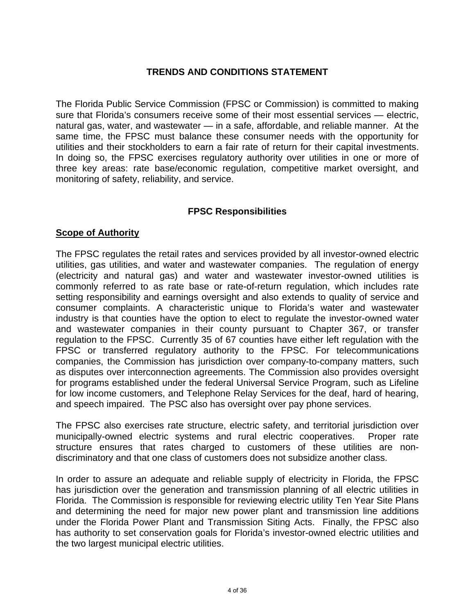## **TRENDS AND CONDITIONS STATEMENT**

The Florida Public Service Commission (FPSC or Commission) is committed to making sure that Florida's consumers receive some of their most essential services — electric, natural gas, water, and wastewater — in a safe, affordable, and reliable manner. At the same time, the FPSC must balance these consumer needs with the opportunity for utilities and their stockholders to earn a fair rate of return for their capital investments. In doing so, the FPSC exercises regulatory authority over utilities in one or more of three key areas: rate base/economic regulation, competitive market oversight, and monitoring of safety, reliability, and service.

## **FPSC Responsibilities**

### **Scope of Authority**

The FPSC regulates the retail rates and services provided by all investor-owned electric utilities, gas utilities, and water and wastewater companies. The regulation of energy (electricity and natural gas) and water and wastewater investor-owned utilities is commonly referred to as rate base or rate-of-return regulation, which includes rate setting responsibility and earnings oversight and also extends to quality of service and consumer complaints. A characteristic unique to Florida's water and wastewater industry is that counties have the option to elect to regulate the investor-owned water and wastewater companies in their county pursuant to Chapter 367, or transfer regulation to the FPSC. Currently 35 of 67 counties have either left regulation with the FPSC or transferred regulatory authority to the FPSC. For telecommunications companies, the Commission has jurisdiction over company-to-company matters, such as disputes over interconnection agreements. The Commission also provides oversight for programs established under the federal Universal Service Program, such as Lifeline for low income customers, and Telephone Relay Services for the deaf, hard of hearing, and speech impaired. The PSC also has oversight over pay phone services.

The FPSC also exercises rate structure, electric safety, and territorial jurisdiction over municipally-owned electric systems and rural electric cooperatives. Proper rate structure ensures that rates charged to customers of these utilities are nondiscriminatory and that one class of customers does not subsidize another class.

In order to assure an adequate and reliable supply of electricity in Florida, the FPSC has jurisdiction over the generation and transmission planning of all electric utilities in Florida. The Commission is responsible for reviewing electric utility Ten Year Site Plans and determining the need for major new power plant and transmission line additions under the Florida Power Plant and Transmission Siting Acts. Finally, the FPSC also has authority to set conservation goals for Florida's investor-owned electric utilities and the two largest municipal electric utilities.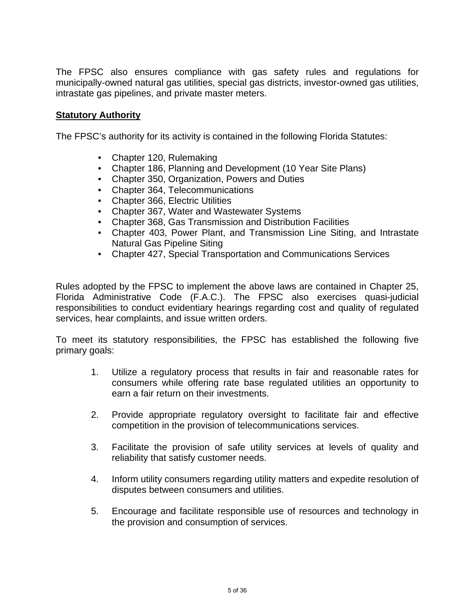The FPSC also ensures compliance with gas safety rules and regulations for municipally-owned natural gas utilities, special gas districts, investor-owned gas utilities, intrastate gas pipelines, and private master meters.

### **Statutory Authority**

The FPSC's authority for its activity is contained in the following Florida Statutes:

- Chapter 120, Rulemaking
- Chapter 186, Planning and Development (10 Year Site Plans)
- Chapter 350, Organization, Powers and Duties
- Chapter 364, Telecommunications
- Chapter 366, Electric Utilities
- Chapter 367, Water and Wastewater Systems
- Chapter 368, Gas Transmission and Distribution Facilities
- Chapter 403, Power Plant, and Transmission Line Siting, and Intrastate Natural Gas Pipeline Siting
- Chapter 427, Special Transportation and Communications Services

Rules adopted by the FPSC to implement the above laws are contained in Chapter 25, Florida Administrative Code (F.A.C.). The FPSC also exercises quasi-judicial responsibilities to conduct evidentiary hearings regarding cost and quality of regulated services, hear complaints, and issue written orders.

To meet its statutory responsibilities, the FPSC has established the following five primary goals:

- 1. Utilize a regulatory process that results in fair and reasonable rates for consumers while offering rate base regulated utilities an opportunity to earn a fair return on their investments.
- 2. Provide appropriate regulatory oversight to facilitate fair and effective competition in the provision of telecommunications services.
- 3. Facilitate the provision of safe utility services at levels of quality and reliability that satisfy customer needs.
- 4. Inform utility consumers regarding utility matters and expedite resolution of disputes between consumers and utilities.
- 5. Encourage and facilitate responsible use of resources and technology in the provision and consumption of services.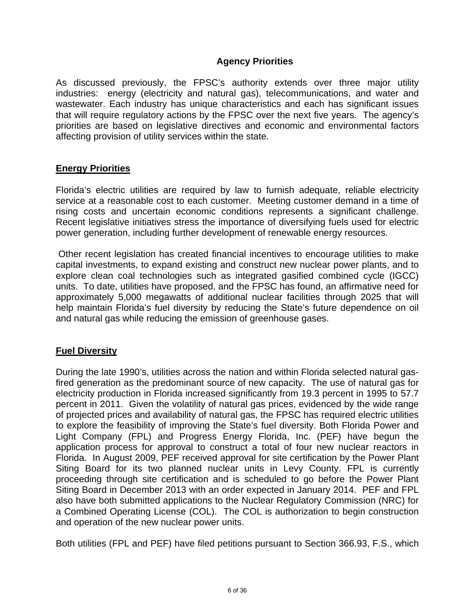## **Agency Priorities**

As discussed previously, the FPSC's authority extends over three major utility industries: energy (electricity and natural gas), telecommunications, and water and wastewater. Each industry has unique characteristics and each has significant issues that will require regulatory actions by the FPSC over the next five years. The agency's priorities are based on legislative directives and economic and environmental factors affecting provision of utility services within the state.

## **Energy Priorities**

Florida's electric utilities are required by law to furnish adequate, reliable electricity service at a reasonable cost to each customer. Meeting customer demand in a time of rising costs and uncertain economic conditions represents a significant challenge. Recent legislative initiatives stress the importance of diversifying fuels used for electric power generation, including further development of renewable energy resources.

 Other recent legislation has created financial incentives to encourage utilities to make capital investments, to expand existing and construct new nuclear power plants, and to explore clean coal technologies such as integrated gasified combined cycle (IGCC) units. To date, utilities have proposed, and the FPSC has found, an affirmative need for approximately 5,000 megawatts of additional nuclear facilities through 2025 that will help maintain Florida's fuel diversity by reducing the State's future dependence on oil and natural gas while reducing the emission of greenhouse gases.

### **Fuel Diversity**

During the late 1990's, utilities across the nation and within Florida selected natural gasfired generation as the predominant source of new capacity. The use of natural gas for electricity production in Florida increased significantly from 19.3 percent in 1995 to 57.7 percent in 2011. Given the volatility of natural gas prices, evidenced by the wide range of projected prices and availability of natural gas, the FPSC has required electric utilities to explore the feasibility of improving the State's fuel diversity. Both Florida Power and Light Company (FPL) and Progress Energy Florida, Inc. (PEF) have begun the application process for approval to construct a total of four new nuclear reactors in Florida. In August 2009, PEF received approval for site certification by the Power Plant Siting Board for its two planned nuclear units in Levy County. FPL is currently proceeding through site certification and is scheduled to go before the Power Plant Siting Board in December 2013 with an order expected in January 2014. PEF and FPL also have both submitted applications to the Nuclear Regulatory Commission (NRC) for a Combined Operating License (COL). The COL is authorization to begin construction and operation of the new nuclear power units.

Both utilities (FPL and PEF) have filed petitions pursuant to Section 366.93, F.S., which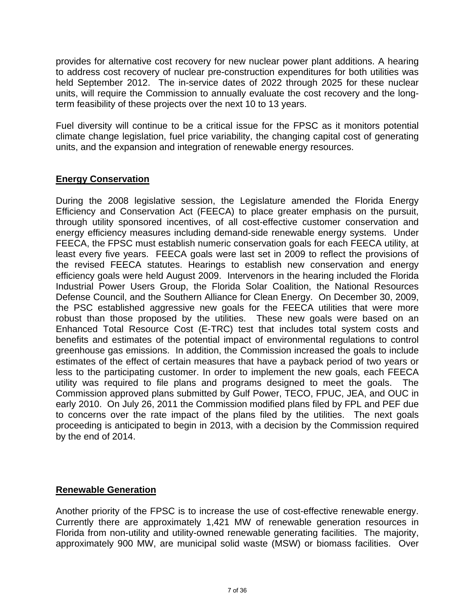provides for alternative cost recovery for new nuclear power plant additions. A hearing to address cost recovery of nuclear pre-construction expenditures for both utilities was held September 2012. The in-service dates of 2022 through 2025 for these nuclear units, will require the Commission to annually evaluate the cost recovery and the longterm feasibility of these projects over the next 10 to 13 years.

Fuel diversity will continue to be a critical issue for the FPSC as it monitors potential climate change legislation, fuel price variability, the changing capital cost of generating units, and the expansion and integration of renewable energy resources.

# **Energy Conservation**

During the 2008 legislative session, the Legislature amended the Florida Energy Efficiency and Conservation Act (FEECA) to place greater emphasis on the pursuit, through utility sponsored incentives, of all cost-effective customer conservation and energy efficiency measures including demand-side renewable energy systems. Under FEECA, the FPSC must establish numeric conservation goals for each FEECA utility, at least every five years. FEECA goals were last set in 2009 to reflect the provisions of the revised FEECA statutes. Hearings to establish new conservation and energy efficiency goals were held August 2009. Intervenors in the hearing included the Florida Industrial Power Users Group, the Florida Solar Coalition, the National Resources Defense Council, and the Southern Alliance for Clean Energy. On December 30, 2009, the PSC established aggressive new goals for the FEECA utilities that were more robust than those proposed by the utilities. These new goals were based on an Enhanced Total Resource Cost (E-TRC) test that includes total system costs and benefits and estimates of the potential impact of environmental regulations to control greenhouse gas emissions. In addition, the Commission increased the goals to include estimates of the effect of certain measures that have a payback period of two years or less to the participating customer. In order to implement the new goals, each FEECA utility was required to file plans and programs designed to meet the goals. The Commission approved plans submitted by Gulf Power, TECO, FPUC, JEA, and OUC in early 2010. On July 26, 2011 the Commission modified plans filed by FPL and PEF due to concerns over the rate impact of the plans filed by the utilities. The next goals proceeding is anticipated to begin in 2013, with a decision by the Commission required by the end of 2014.

## **Renewable Generation**

Another priority of the FPSC is to increase the use of cost-effective renewable energy. Currently there are approximately 1,421 MW of renewable generation resources in Florida from non-utility and utility-owned renewable generating facilities. The majority, approximately 900 MW, are municipal solid waste (MSW) or biomass facilities. Over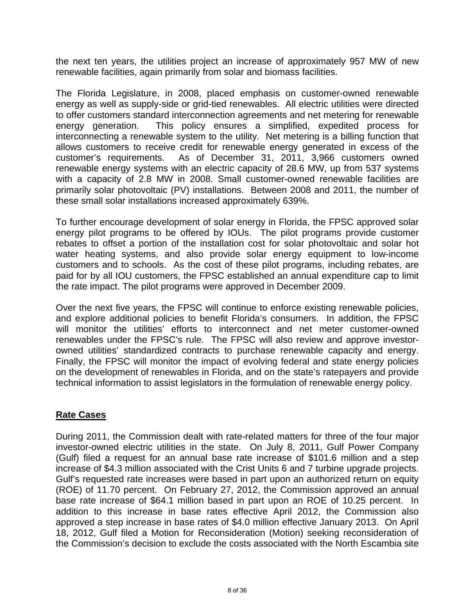the next ten years, the utilities project an increase of approximately 957 MW of new renewable facilities, again primarily from solar and biomass facilities.

The Florida Legislature, in 2008, placed emphasis on customer-owned renewable energy as well as supply-side or grid-tied renewables. All electric utilities were directed to offer customers standard interconnection agreements and net metering for renewable energy generation. This policy ensures a simplified, expedited process for interconnecting a renewable system to the utility. Net metering is a billing function that allows customers to receive credit for renewable energy generated in excess of the customer's requirements. As of December 31, 2011, 3,966 customers owned renewable energy systems with an electric capacity of 28.6 MW, up from 537 systems with a capacity of 2.8 MW in 2008. Small customer-owned renewable facilities are primarily solar photovoltaic (PV) installations. Between 2008 and 2011, the number of these small solar installations increased approximately 639%.

To further encourage development of solar energy in Florida, the FPSC approved solar energy pilot programs to be offered by IOUs. The pilot programs provide customer rebates to offset a portion of the installation cost for solar photovoltaic and solar hot water heating systems, and also provide solar energy equipment to low-income customers and to schools. As the cost of these pilot programs, including rebates, are paid for by all IOU customers, the FPSC established an annual expenditure cap to limit the rate impact. The pilot programs were approved in December 2009.

Over the next five years, the FPSC will continue to enforce existing renewable policies, and explore additional policies to benefit Florida's consumers. In addition, the FPSC will monitor the utilities' efforts to interconnect and net meter customer-owned renewables under the FPSC's rule. The FPSC will also review and approve investorowned utilities' standardized contracts to purchase renewable capacity and energy. Finally, the FPSC will monitor the impact of evolving federal and state energy policies on the development of renewables in Florida, and on the state's ratepayers and provide technical information to assist legislators in the formulation of renewable energy policy.

### **Rate Cases**

During 2011, the Commission dealt with rate-related matters for three of the four major investor-owned electric utilities in the state. On July 8, 2011, Gulf Power Company (Gulf) filed a request for an annual base rate increase of \$101.6 million and a step increase of \$4.3 million associated with the Crist Units 6 and 7 turbine upgrade projects. Gulf's requested rate increases were based in part upon an authorized return on equity (ROE) of 11.70 percent. On February 27, 2012, the Commission approved an annual base rate increase of \$64.1 million based in part upon an ROE of 10.25 percent. In addition to this increase in base rates effective April 2012, the Commission also approved a step increase in base rates of \$4.0 million effective January 2013. On April 18, 2012, Gulf filed a Motion for Reconsideration (Motion) seeking reconsideration of the Commission's decision to exclude the costs associated with the North Escambia site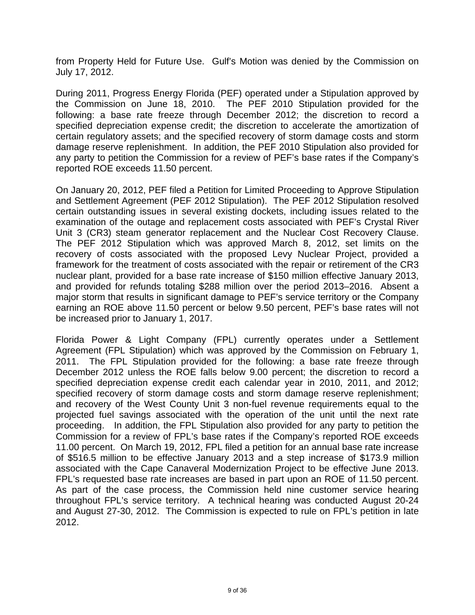from Property Held for Future Use. Gulf's Motion was denied by the Commission on July 17, 2012.

During 2011, Progress Energy Florida (PEF) operated under a Stipulation approved by the Commission on June 18, 2010. The PEF 2010 Stipulation provided for the following: a base rate freeze through December 2012; the discretion to record a specified depreciation expense credit; the discretion to accelerate the amortization of certain regulatory assets; and the specified recovery of storm damage costs and storm damage reserve replenishment. In addition, the PEF 2010 Stipulation also provided for any party to petition the Commission for a review of PEF's base rates if the Company's reported ROE exceeds 11.50 percent.

On January 20, 2012, PEF filed a Petition for Limited Proceeding to Approve Stipulation and Settlement Agreement (PEF 2012 Stipulation). The PEF 2012 Stipulation resolved certain outstanding issues in several existing dockets, including issues related to the examination of the outage and replacement costs associated with PEF's Crystal River Unit 3 (CR3) steam generator replacement and the Nuclear Cost Recovery Clause. The PEF 2012 Stipulation which was approved March 8, 2012, set limits on the recovery of costs associated with the proposed Levy Nuclear Project, provided a framework for the treatment of costs associated with the repair or retirement of the CR3 nuclear plant, provided for a base rate increase of \$150 million effective January 2013, and provided for refunds totaling \$288 million over the period 2013–2016. Absent a major storm that results in significant damage to PEF's service territory or the Company earning an ROE above 11.50 percent or below 9.50 percent, PEF's base rates will not be increased prior to January 1, 2017.

Florida Power & Light Company (FPL) currently operates under a Settlement Agreement (FPL Stipulation) which was approved by the Commission on February 1, 2011. The FPL Stipulation provided for the following: a base rate freeze through December 2012 unless the ROE falls below 9.00 percent; the discretion to record a specified depreciation expense credit each calendar year in 2010, 2011, and 2012; specified recovery of storm damage costs and storm damage reserve replenishment; and recovery of the West County Unit 3 non-fuel revenue requirements equal to the projected fuel savings associated with the operation of the unit until the next rate proceeding. In addition, the FPL Stipulation also provided for any party to petition the Commission for a review of FPL's base rates if the Company's reported ROE exceeds 11.00 percent. On March 19, 2012, FPL filed a petition for an annual base rate increase of \$516.5 million to be effective January 2013 and a step increase of \$173.9 million associated with the Cape Canaveral Modernization Project to be effective June 2013. FPL's requested base rate increases are based in part upon an ROE of 11.50 percent. As part of the case process, the Commission held nine customer service hearing throughout FPL's service territory. A technical hearing was conducted August 20-24 and August 27-30, 2012. The Commission is expected to rule on FPL's petition in late 2012.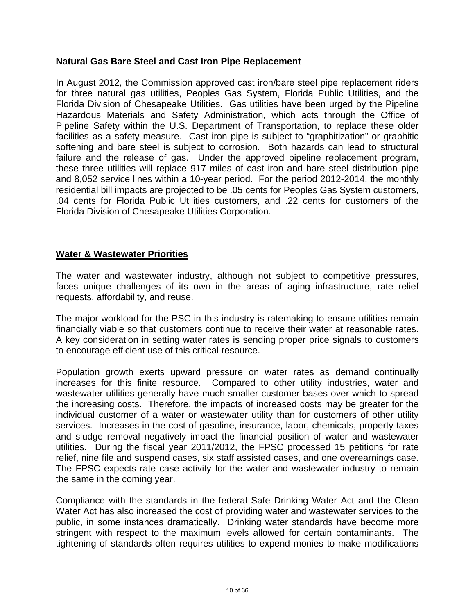## **Natural Gas Bare Steel and Cast Iron Pipe Replacement**

In August 2012, the Commission approved cast iron/bare steel pipe replacement riders for three natural gas utilities, Peoples Gas System, Florida Public Utilities, and the Florida Division of Chesapeake Utilities. Gas utilities have been urged by the Pipeline Hazardous Materials and Safety Administration, which acts through the Office of Pipeline Safety within the U.S. Department of Transportation, to replace these older facilities as a safety measure. Cast iron pipe is subject to "graphitization" or graphitic softening and bare steel is subject to corrosion. Both hazards can lead to structural failure and the release of gas. Under the approved pipeline replacement program, these three utilities will replace 917 miles of cast iron and bare steel distribution pipe and 8,052 service lines within a 10-year period. For the period 2012-2014, the monthly residential bill impacts are projected to be .05 cents for Peoples Gas System customers, .04 cents for Florida Public Utilities customers, and .22 cents for customers of the Florida Division of Chesapeake Utilities Corporation.

### **Water & Wastewater Priorities**

The water and wastewater industry, although not subject to competitive pressures, faces unique challenges of its own in the areas of aging infrastructure, rate relief requests, affordability, and reuse.

The major workload for the PSC in this industry is ratemaking to ensure utilities remain financially viable so that customers continue to receive their water at reasonable rates. A key consideration in setting water rates is sending proper price signals to customers to encourage efficient use of this critical resource.

Population growth exerts upward pressure on water rates as demand continually increases for this finite resource. Compared to other utility industries, water and wastewater utilities generally have much smaller customer bases over which to spread the increasing costs. Therefore, the impacts of increased costs may be greater for the individual customer of a water or wastewater utility than for customers of other utility services. Increases in the cost of gasoline, insurance, labor, chemicals, property taxes and sludge removal negatively impact the financial position of water and wastewater utilities. During the fiscal year 2011/2012, the FPSC processed 15 petitions for rate relief, nine file and suspend cases, six staff assisted cases, and one overearnings case. The FPSC expects rate case activity for the water and wastewater industry to remain the same in the coming year.

Compliance with the standards in the federal Safe Drinking Water Act and the Clean Water Act has also increased the cost of providing water and wastewater services to the public, in some instances dramatically. Drinking water standards have become more stringent with respect to the maximum levels allowed for certain contaminants. The tightening of standards often requires utilities to expend monies to make modifications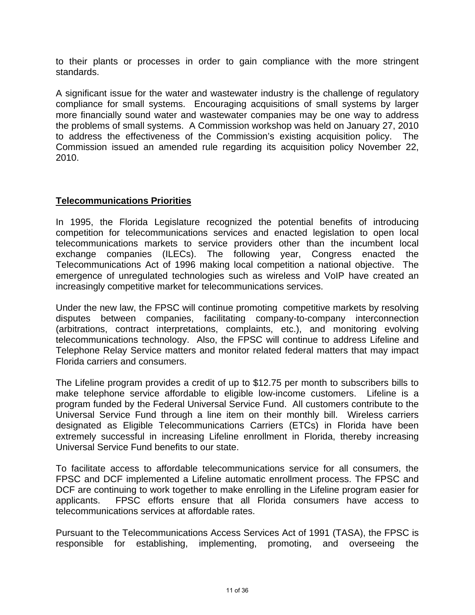to their plants or processes in order to gain compliance with the more stringent standards.

A significant issue for the water and wastewater industry is the challenge of regulatory compliance for small systems. Encouraging acquisitions of small systems by larger more financially sound water and wastewater companies may be one way to address the problems of small systems. A Commission workshop was held on January 27, 2010 to address the effectiveness of the Commission's existing acquisition policy. The Commission issued an amended rule regarding its acquisition policy November 22, 2010.

## **Telecommunications Priorities**

In 1995, the Florida Legislature recognized the potential benefits of introducing competition for telecommunications services and enacted legislation to open local telecommunications markets to service providers other than the incumbent local exchange companies (ILECs). The following year, Congress enacted the Telecommunications Act of 1996 making local competition a national objective. The emergence of unregulated technologies such as wireless and VoIP have created an increasingly competitive market for telecommunications services.

Under the new law, the FPSC will continue promoting competitive markets by resolving disputes between companies, facilitating company-to-company interconnection (arbitrations, contract interpretations, complaints, etc.), and monitoring evolving telecommunications technology. Also, the FPSC will continue to address Lifeline and Telephone Relay Service matters and monitor related federal matters that may impact Florida carriers and consumers.

The Lifeline program provides a credit of up to \$12.75 per month to subscribers bills to make telephone service affordable to eligible low-income customers. Lifeline is a program funded by the Federal Universal Service Fund. All customers contribute to the Universal Service Fund through a line item on their monthly bill. Wireless carriers designated as Eligible Telecommunications Carriers (ETCs) in Florida have been extremely successful in increasing Lifeline enrollment in Florida, thereby increasing Universal Service Fund benefits to our state.

To facilitate access to affordable telecommunications service for all consumers, the FPSC and DCF implemented a Lifeline automatic enrollment process. The FPSC and DCF are continuing to work together to make enrolling in the Lifeline program easier for applicants. FPSC efforts ensure that all Florida consumers have access to telecommunications services at affordable rates.

Pursuant to the Telecommunications Access Services Act of 1991 (TASA), the FPSC is responsible for establishing, implementing, promoting, and overseeing the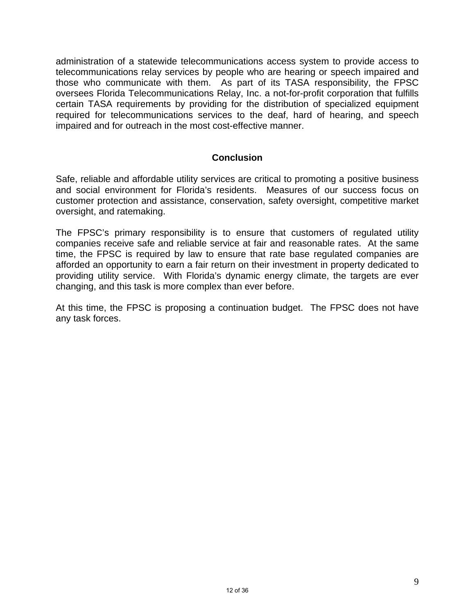administration of a statewide telecommunications access system to provide access to telecommunications relay services by people who are hearing or speech impaired and those who communicate with them. As part of its TASA responsibility, the FPSC oversees Florida Telecommunications Relay, Inc. a not-for-profit corporation that fulfills certain TASA requirements by providing for the distribution of specialized equipment required for telecommunications services to the deaf, hard of hearing, and speech impaired and for outreach in the most cost-effective manner.

### **Conclusion**

Safe, reliable and affordable utility services are critical to promoting a positive business and social environment for Florida's residents. Measures of our success focus on customer protection and assistance, conservation, safety oversight, competitive market oversight, and ratemaking.

The FPSC's primary responsibility is to ensure that customers of regulated utility companies receive safe and reliable service at fair and reasonable rates. At the same time, the FPSC is required by law to ensure that rate base regulated companies are afforded an opportunity to earn a fair return on their investment in property dedicated to providing utility service. With Florida's dynamic energy climate, the targets are ever changing, and this task is more complex than ever before.

At this time, the FPSC is proposing a continuation budget. The FPSC does not have any task forces.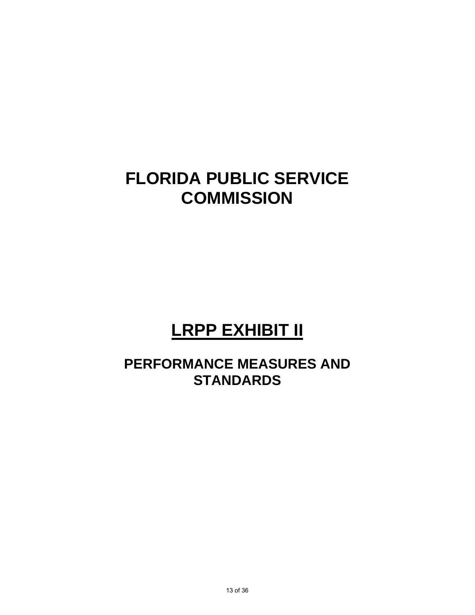# **LRPP EXHIBIT II**

# **PERFORMANCE MEASURES AND STANDARDS**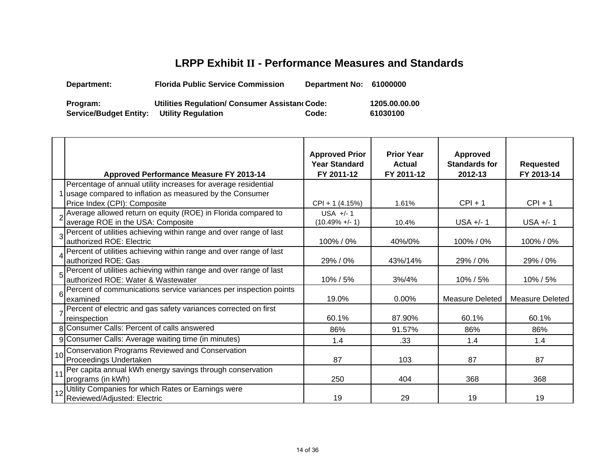# **LRPP Exhibit II - Performance Measures and Standards**

**Department: Florida Public Service Commission Department No: 61000000 Program: Utilities Regulation/ Consumer Assistan c**

**Service/Budget Entity: Utility Regulation**

**Code: 1205.00.00.00 Code: 61030100**

|    | <b>Approved Performance Measure FY 2013-14</b>                                                                                                              | <b>Approved Prior</b><br><b>Year Standard</b><br>FY 2011-12 | <b>Prior Year</b><br><b>Actual</b><br>FY 2011-12 | <b>Approved</b><br><b>Standards for</b><br>2012-13 | <b>Requested</b><br>FY 2013-14 |
|----|-------------------------------------------------------------------------------------------------------------------------------------------------------------|-------------------------------------------------------------|--------------------------------------------------|----------------------------------------------------|--------------------------------|
|    | Percentage of annual utility increases for average residential<br>1 usage compared to inflation as measured by the Consumer<br>Price Index (CPI): Composite | CPI + 1 (4.15%)                                             | 1.61%                                            | $CPI + 1$                                          | $CPI + 1$                      |
|    | Average allowed return on equity (ROE) in Florida compared to<br>average ROE in the USA: Composite                                                          | $USA +/- 1$<br>$(10.49\% +/- 1)$                            | 10.4%                                            | $USA +/- 1$                                        | $USA +/- 1$                    |
| 3  | Percent of utilities achieving within range and over range of last<br>authorized ROE: Electric                                                              | 100% / 0%                                                   | 40%/0%                                           | 100%/0%                                            | 100%/0%                        |
|    | Percent of utilities achieving within range and over range of last<br>authorized ROE: Gas                                                                   | 29% / 0%                                                    | 43%/14%                                          | 29% / 0%                                           | 29% / 0%                       |
| 5  | Percent of utilities achieving within range and over range of last<br>authorized ROE: Water & Wastewater                                                    | 10% / 5%                                                    | 3% / 4%                                          | 10% / 5%                                           | 10% / 5%                       |
| 6  | Percent of communications service variances per inspection points<br>examined                                                                               | 19.0%                                                       | $0.00\%$                                         | Measure Deleted                                    | Measure Deleted                |
|    | Percent of electric and gas safety variances corrected on first<br>reinspection                                                                             | 60.1%                                                       | 87.90%                                           | 60.1%                                              | 60.1%                          |
|    | 8 Consumer Calls: Percent of calls answered                                                                                                                 | 86%                                                         | 91.57%                                           | 86%                                                | 86%                            |
|    | 9 Consumer Calls: Average waiting time (in minutes)                                                                                                         | 1.4                                                         | .33                                              | 1.4                                                | 1.4                            |
| 10 | Conservation Programs Reviewed and Conservation<br>Proceedings Undertaken                                                                                   | 87                                                          | 103                                              | 87                                                 | 87                             |
| 11 | Per capita annual kWh energy savings through conservation<br>programs (in kWh)                                                                              | 250                                                         | 404                                              | 368                                                | 368                            |
| 12 | Utility Companies for which Rates or Earnings were<br>Reviewed/Adjusted: Electric                                                                           | 19                                                          | 29                                               | 19                                                 | 19                             |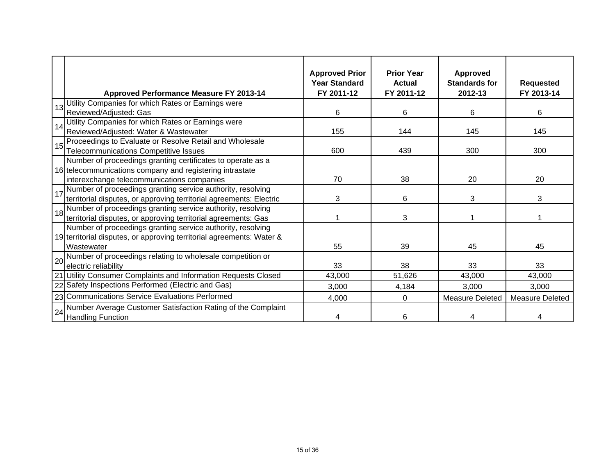|                 | <b>Approved Performance Measure FY 2013-14</b>                        | <b>Approved Prior</b><br><b>Year Standard</b><br>FY 2011-12 | <b>Prior Year</b><br><b>Actual</b><br>FY 2011-12 | <b>Approved</b><br><b>Standards for</b><br>2012-13 | <b>Requested</b><br>FY 2013-14 |
|-----------------|-----------------------------------------------------------------------|-------------------------------------------------------------|--------------------------------------------------|----------------------------------------------------|--------------------------------|
|                 | Utility Companies for which Rates or Earnings were                    |                                                             |                                                  |                                                    |                                |
| 13              | Reviewed/Adjusted: Gas                                                | 6                                                           | 6                                                | 6                                                  | 6                              |
| 14              | Utility Companies for which Rates or Earnings were                    |                                                             |                                                  |                                                    |                                |
|                 | Reviewed/Adjusted: Water & Wastewater                                 | 155                                                         | 144                                              | 145                                                | 145                            |
| 15 <sup>1</sup> | Proceedings to Evaluate or Resolve Retail and Wholesale               |                                                             |                                                  |                                                    |                                |
|                 | Telecommunications Competitive Issues                                 | 600                                                         | 439                                              | 300                                                | 300                            |
|                 | Number of proceedings granting certificates to operate as a           |                                                             |                                                  |                                                    |                                |
|                 | 16 telecommunications company and registering intrastate              |                                                             |                                                  |                                                    |                                |
|                 | interexchange telecommunications companies                            | 70                                                          | 38                                               | 20                                                 | 20                             |
|                 | 17 Number of proceedings granting service authority, resolving        |                                                             |                                                  |                                                    |                                |
|                 | territorial disputes, or approving territorial agreements: Electric   | 3                                                           | 6                                                | 3                                                  | 3                              |
|                 | 18 Number of proceedings granting service authority, resolving        |                                                             |                                                  |                                                    |                                |
|                 | territorial disputes, or approving territorial agreements: Gas        |                                                             | 3                                                |                                                    |                                |
|                 | Number of proceedings granting service authority, resolving           |                                                             |                                                  |                                                    |                                |
|                 | 19 territorial disputes, or approving territorial agreements: Water & |                                                             |                                                  |                                                    |                                |
|                 | Wastewater                                                            | 55                                                          | 39                                               | 45                                                 | 45                             |
|                 | 20 Number of proceedings relating to wholesale competition or         |                                                             |                                                  |                                                    |                                |
|                 | electric reliability                                                  | 33                                                          | 38                                               | 33                                                 | 33                             |
|                 | 21 Utility Consumer Complaints and Information Requests Closed        | 43,000                                                      | 51,626                                           | 43,000                                             | 43,000                         |
|                 | 22 Safety Inspections Performed (Electric and Gas)                    | 3,000                                                       | 4,184                                            | 3,000                                              | 3,000                          |
|                 | 23 Communications Service Evaluations Performed                       | 4,000                                                       | 0                                                | Measure Deleted                                    | <b>Measure Deleted</b>         |
|                 | 24 Number Average Customer Satisfaction Rating of the Complaint       |                                                             |                                                  |                                                    |                                |
|                 | <b>Handling Function</b>                                              | 4                                                           | 6                                                |                                                    |                                |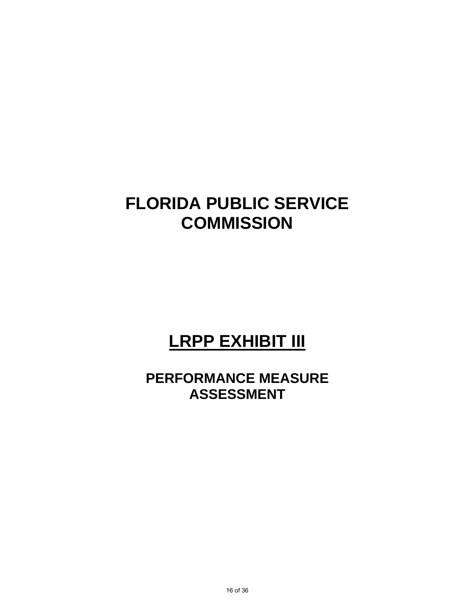# **LRPP EXHIBIT III**

**PERFORMANCE MEASURE ASSESSMENT**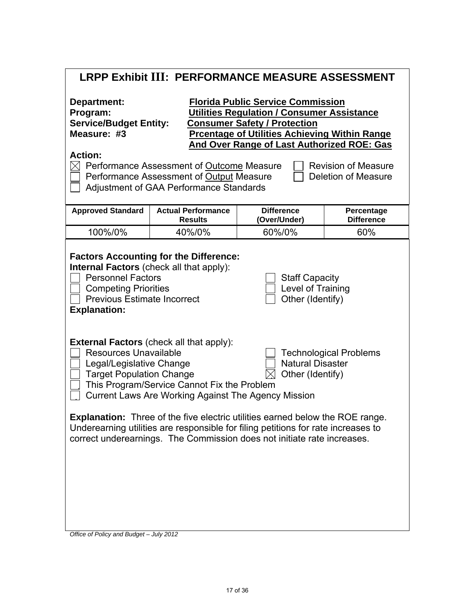| <b>LRPP Exhibit III: PERFORMANCE MEASURE ASSESSMENT</b> |
|---------------------------------------------------------|
|---------------------------------------------------------|

| <b>Florida Public Service Commission</b><br>Department:<br><b>Utilities Regulation / Consumer Assistance</b><br>Program:<br><b>Service/Budget Entity:</b><br><u>Consumer Safety / Protection</u><br>Measure: #3<br><b>Prcentage of Utilities Achieving Within Range</b><br><b>And Over Range of Last Authorized ROE: Gas</b>                                                                                                                                                                                                                                                                 |                                                                                                                                         |                                   |                                                          |  |
|----------------------------------------------------------------------------------------------------------------------------------------------------------------------------------------------------------------------------------------------------------------------------------------------------------------------------------------------------------------------------------------------------------------------------------------------------------------------------------------------------------------------------------------------------------------------------------------------|-----------------------------------------------------------------------------------------------------------------------------------------|-----------------------------------|----------------------------------------------------------|--|
| <b>Action:</b>                                                                                                                                                                                                                                                                                                                                                                                                                                                                                                                                                                               | Performance Assessment of Outcome Measure<br>Performance Assessment of Output Measure<br><b>Adjustment of GAA Performance Standards</b> |                                   | <b>Revision of Measure</b><br><b>Deletion of Measure</b> |  |
| <b>Approved Standard</b>                                                                                                                                                                                                                                                                                                                                                                                                                                                                                                                                                                     | <b>Actual Performance</b><br><b>Results</b>                                                                                             | <b>Difference</b><br>(Over/Under) | Percentage<br><b>Difference</b>                          |  |
| 100%/0%                                                                                                                                                                                                                                                                                                                                                                                                                                                                                                                                                                                      | 40%/0%                                                                                                                                  | 60%/0%                            | 60%                                                      |  |
| <b>Factors Accounting for the Difference:</b><br><b>Internal Factors</b> (check all that apply):<br><b>Personnel Factors</b><br><b>Staff Capacity</b><br>Level of Training<br><b>Competing Priorities</b><br>Other (Identify)<br><b>Previous Estimate Incorrect</b><br><b>Explanation:</b>                                                                                                                                                                                                                                                                                                   |                                                                                                                                         |                                   |                                                          |  |
| <b>External Factors (check all that apply):</b><br><b>Resources Unavailable</b><br><b>Technological Problems</b><br><b>Natural Disaster</b><br>Legal/Legislative Change<br><b>Target Population Change</b><br>Other (Identify)<br>This Program/Service Cannot Fix the Problem<br>Current Laws Are Working Against The Agency Mission<br><b>Explanation:</b> Three of the five electric utilities earned below the ROE range.<br>Underearning utilities are responsible for filing petitions for rate increases to<br>correct underearnings. The Commission does not initiate rate increases. |                                                                                                                                         |                                   |                                                          |  |
|                                                                                                                                                                                                                                                                                                                                                                                                                                                                                                                                                                                              |                                                                                                                                         |                                   |                                                          |  |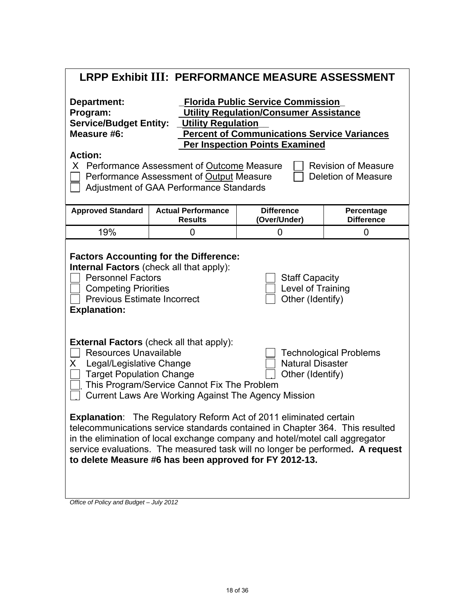|  |  | LRPP Exhibit III: PERFORMANCE MEASURE ASSESSMENT |
|--|--|--------------------------------------------------|
|--|--|--------------------------------------------------|

| Department:<br>Program:<br><b>Service/Budget Entity:</b><br>Measure #6:                                                                                                                                                                                                                                                                                                             |                                             | <b>Florida Public Service Commission</b><br><b>Utility Regulation/Consumer Assistance</b><br><b>Utility Regulation</b><br><b>Percent of Communications Service Variances</b><br><b>Per Inspection Points Examined</b> |                                 |  |  |
|-------------------------------------------------------------------------------------------------------------------------------------------------------------------------------------------------------------------------------------------------------------------------------------------------------------------------------------------------------------------------------------|---------------------------------------------|-----------------------------------------------------------------------------------------------------------------------------------------------------------------------------------------------------------------------|---------------------------------|--|--|
| <b>Action:</b><br><b>Revision of Measure</b><br>X Performance Assessment of Outcome Measure<br>Performance Assessment of Output Measure<br><b>Deletion of Measure</b><br>Adjustment of GAA Performance Standards                                                                                                                                                                    |                                             |                                                                                                                                                                                                                       |                                 |  |  |
| <b>Approved Standard</b>                                                                                                                                                                                                                                                                                                                                                            | <b>Actual Performance</b><br><b>Results</b> | <b>Difference</b><br>(Over/Under)                                                                                                                                                                                     | Percentage<br><b>Difference</b> |  |  |
| 19%                                                                                                                                                                                                                                                                                                                                                                                 | 0                                           | $\overline{0}$                                                                                                                                                                                                        | 0                               |  |  |
| <b>Factors Accounting for the Difference:</b><br><b>Internal Factors</b> (check all that apply):<br><b>Personnel Factors</b><br><b>Staff Capacity</b><br><b>Competing Priorities</b><br>Level of Training<br><b>Previous Estimate Incorrect</b><br>Other (Identify)<br><b>Explanation:</b>                                                                                          |                                             |                                                                                                                                                                                                                       |                                 |  |  |
| <b>External Factors (check all that apply):</b><br>Resources Unavailable<br><b>Technological Problems</b><br><b>Natural Disaster</b><br>Legal/Legislative Change<br>X.<br><b>Target Population Change</b><br>Other (Identify)<br>This Program/Service Cannot Fix The Problem<br>Current Laws Are Working Against The Agency Mission                                                 |                                             |                                                                                                                                                                                                                       |                                 |  |  |
| <b>Explanation:</b> The Regulatory Reform Act of 2011 eliminated certain<br>telecommunications service standards contained in Chapter 364. This resulted<br>in the elimination of local exchange company and hotel/motel call aggregator<br>service evaluations. The measured task will no longer be performed. A request<br>to delete Measure #6 has been approved for FY 2012-13. |                                             |                                                                                                                                                                                                                       |                                 |  |  |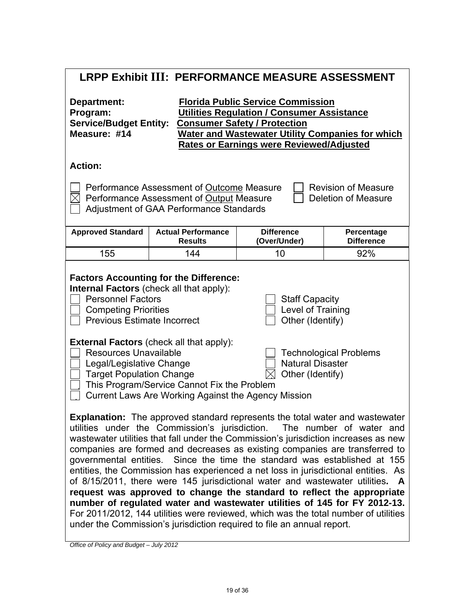| LRPP Exhibit III: PERFORMANCE MEASURE ASSESSMENT                                                                                                                                                                                                                                                                                                                                                                                                                                                                                                                                                                                                                                                                                                                                                                                                                                                                |                                                                                                                                  |                                   |                                                          |  |
|-----------------------------------------------------------------------------------------------------------------------------------------------------------------------------------------------------------------------------------------------------------------------------------------------------------------------------------------------------------------------------------------------------------------------------------------------------------------------------------------------------------------------------------------------------------------------------------------------------------------------------------------------------------------------------------------------------------------------------------------------------------------------------------------------------------------------------------------------------------------------------------------------------------------|----------------------------------------------------------------------------------------------------------------------------------|-----------------------------------|----------------------------------------------------------|--|
| <b>Florida Public Service Commission</b><br><b>Department:</b><br>Program:<br><b>Utilities Regulation / Consumer Assistance</b><br><b>Service/Budget Entity:</b><br><b>Consumer Safety / Protection</b><br>Measure: #14<br><b>Water and Wastewater Utility Companies for which</b><br><b>Rates or Earnings were Reviewed/Adjusted</b>                                                                                                                                                                                                                                                                                                                                                                                                                                                                                                                                                                           |                                                                                                                                  |                                   |                                                          |  |
| <b>Action:</b>                                                                                                                                                                                                                                                                                                                                                                                                                                                                                                                                                                                                                                                                                                                                                                                                                                                                                                  |                                                                                                                                  |                                   |                                                          |  |
|                                                                                                                                                                                                                                                                                                                                                                                                                                                                                                                                                                                                                                                                                                                                                                                                                                                                                                                 | Performance Assessment of Outcome Measure<br>Performance Assessment of Output Measure<br>Adjustment of GAA Performance Standards |                                   | <b>Revision of Measure</b><br><b>Deletion of Measure</b> |  |
| <b>Approved Standard</b>                                                                                                                                                                                                                                                                                                                                                                                                                                                                                                                                                                                                                                                                                                                                                                                                                                                                                        | <b>Actual Performance</b><br><b>Results</b>                                                                                      | <b>Difference</b><br>(Over/Under) | Percentage<br><b>Difference</b>                          |  |
| 155                                                                                                                                                                                                                                                                                                                                                                                                                                                                                                                                                                                                                                                                                                                                                                                                                                                                                                             | 144                                                                                                                              | 10                                | 92%                                                      |  |
| <b>Factors Accounting for the Difference:</b><br><b>Internal Factors</b> (check all that apply):<br><b>Personnel Factors</b><br><b>Staff Capacity</b><br>Level of Training<br><b>Competing Priorities</b><br><b>Previous Estimate Incorrect</b><br>Other (Identify)<br><b>External Factors (check all that apply):</b><br><b>Resources Unavailable</b><br><b>Technological Problems</b><br><b>Natural Disaster</b><br>Legal/Legislative Change<br><b>Target Population Change</b><br>Other (Identify)<br>This Program/Service Cannot Fix the Problem<br>Current Laws Are Working Against the Agency Mission                                                                                                                                                                                                                                                                                                     |                                                                                                                                  |                                   |                                                          |  |
| <b>Explanation:</b> The approved standard represents the total water and wastewater<br>utilities under the Commission's jurisdiction. The number of water and<br>wastewater utilities that fall under the Commission's jurisdiction increases as new<br>companies are formed and decreases as existing companies are transferred to<br>governmental entities. Since the time the standard was established at 155<br>entities, the Commission has experienced a net loss in jurisdictional entities. As<br>of 8/15/2011, there were 145 jurisdictional water and wastewater utilities. A<br>request was approved to change the standard to reflect the appropriate<br>number of regulated water and wastewater utilities of 145 for FY 2012-13.<br>For 2011/2012, 144 utilities were reviewed, which was the total number of utilities<br>under the Commission's jurisdiction required to file an annual report. |                                                                                                                                  |                                   |                                                          |  |

 $\mathsf{l}$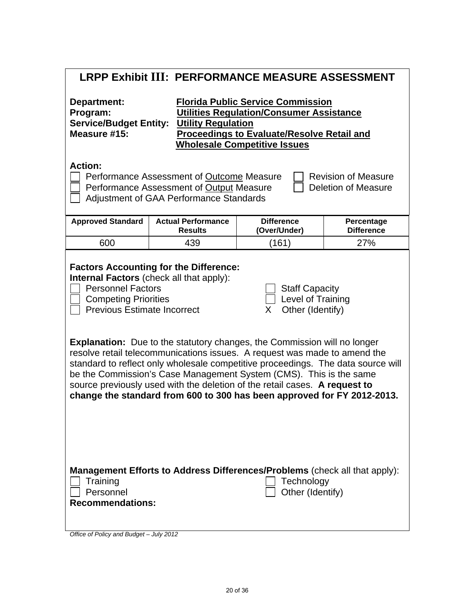| LRPP Exhibit III: PERFORMANCE MEASURE ASSESSMENT                                                                                                                                                                                                                                                                                                                                                                                                                                                                                                                                                                                                                                                                                                             |                                                                            |                                   |                                 |  |  |
|--------------------------------------------------------------------------------------------------------------------------------------------------------------------------------------------------------------------------------------------------------------------------------------------------------------------------------------------------------------------------------------------------------------------------------------------------------------------------------------------------------------------------------------------------------------------------------------------------------------------------------------------------------------------------------------------------------------------------------------------------------------|----------------------------------------------------------------------------|-----------------------------------|---------------------------------|--|--|
| <b>Florida Public Service Commission</b><br><b>Department:</b><br>Program:<br><b>Utilities Regulation/Consumer Assistance</b><br><b>Service/Budget Entity:</b><br><b>Utility Regulation</b><br>Measure #15:<br><b>Proceedings to Evaluate/Resolve Retail and</b><br><b>Wholesale Competitive Issues</b>                                                                                                                                                                                                                                                                                                                                                                                                                                                      |                                                                            |                                   |                                 |  |  |
| <b>Action:</b><br>Performance Assessment of Outcome Measure<br><b>Revision of Measure</b><br>Performance Assessment of Output Measure<br><b>Deletion of Measure</b><br>Adjustment of GAA Performance Standards                                                                                                                                                                                                                                                                                                                                                                                                                                                                                                                                               |                                                                            |                                   |                                 |  |  |
| <b>Approved Standard</b>                                                                                                                                                                                                                                                                                                                                                                                                                                                                                                                                                                                                                                                                                                                                     | <b>Actual Performance</b><br><b>Results</b>                                | <b>Difference</b><br>(Over/Under) | Percentage<br><b>Difference</b> |  |  |
| 600                                                                                                                                                                                                                                                                                                                                                                                                                                                                                                                                                                                                                                                                                                                                                          | 439                                                                        | (161)                             | 27%                             |  |  |
| <b>Factors Accounting for the Difference:</b><br><b>Internal Factors</b> (check all that apply):<br><b>Personnel Factors</b><br><b>Staff Capacity</b><br>Level of Training<br><b>Competing Priorities</b><br>Other (Identify)<br><b>Previous Estimate Incorrect</b><br>X.<br><b>Explanation:</b> Due to the statutory changes, the Commission will no longer<br>resolve retail telecommunications issues. A request was made to amend the<br>standard to reflect only wholesale competitive proceedings. The data source will<br>be the Commission's Case Management System (CMS). This is the same<br>source previously used with the deletion of the retail cases. A request to<br>change the standard from 600 to 300 has been approved for FY 2012-2013. |                                                                            |                                   |                                 |  |  |
| Training<br>Personnel<br><b>Recommendations:</b><br>Office of Policy and Budget - July 2012                                                                                                                                                                                                                                                                                                                                                                                                                                                                                                                                                                                                                                                                  | Management Efforts to Address Differences/Problems (check all that apply): | Technology<br>Other (Identify)    |                                 |  |  |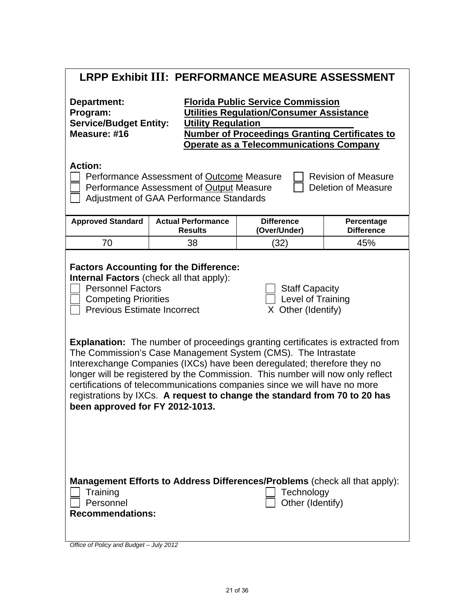| <b>LRPP Exhibit III: PERFORMANCE MEASURE ASSESSMENT</b>                                                                                                                                                                                                                                                                                                                                                                                                                                                                                                                                                                                                                                                                                                                            |                                             |                                   |                                 |  |  |
|------------------------------------------------------------------------------------------------------------------------------------------------------------------------------------------------------------------------------------------------------------------------------------------------------------------------------------------------------------------------------------------------------------------------------------------------------------------------------------------------------------------------------------------------------------------------------------------------------------------------------------------------------------------------------------------------------------------------------------------------------------------------------------|---------------------------------------------|-----------------------------------|---------------------------------|--|--|
| <b>Florida Public Service Commission</b><br>Department:<br>Program:<br><b>Utilities Regulation/Consumer Assistance</b><br><b>Service/Budget Entity:</b><br><b>Utility Regulation</b><br>Measure: #16<br><b>Number of Proceedings Granting Certificates to</b><br><b>Operate as a Telecommunications Company</b>                                                                                                                                                                                                                                                                                                                                                                                                                                                                    |                                             |                                   |                                 |  |  |
| <b>Action:</b><br>Performance Assessment of Outcome Measure<br><b>Revision of Measure</b><br>Performance Assessment of Output Measure<br><b>Deletion of Measure</b><br><b>Adjustment of GAA Performance Standards</b>                                                                                                                                                                                                                                                                                                                                                                                                                                                                                                                                                              |                                             |                                   |                                 |  |  |
| <b>Approved Standard</b>                                                                                                                                                                                                                                                                                                                                                                                                                                                                                                                                                                                                                                                                                                                                                           | <b>Actual Performance</b><br><b>Results</b> | <b>Difference</b><br>(Over/Under) | Percentage<br><b>Difference</b> |  |  |
| 70                                                                                                                                                                                                                                                                                                                                                                                                                                                                                                                                                                                                                                                                                                                                                                                 | 38                                          | (32)                              | 45%                             |  |  |
| <b>Factors Accounting for the Difference:</b><br>Internal Factors (check all that apply):<br><b>Personnel Factors</b><br><b>Staff Capacity</b><br>Level of Training<br><b>Competing Priorities</b><br><b>Previous Estimate Incorrect</b><br>X Other (Identify)<br><b>Explanation:</b> The number of proceedings granting certificates is extracted from<br>The Commission's Case Management System (CMS). The Intrastate<br>Interexchange Companies (IXCs) have been deregulated; therefore they no<br>longer will be registered by the Commission. This number will now only reflect<br>certifications of telecommunications companies since we will have no more<br>registrations by IXCs. A request to change the standard from 70 to 20 has<br>been approved for FY 2012-1013. |                                             |                                   |                                 |  |  |
| Management Efforts to Address Differences/Problems (check all that apply):<br>Training<br>Technology<br>Personnel<br>Other (Identify)<br><b>Recommendations:</b>                                                                                                                                                                                                                                                                                                                                                                                                                                                                                                                                                                                                                   |                                             |                                   |                                 |  |  |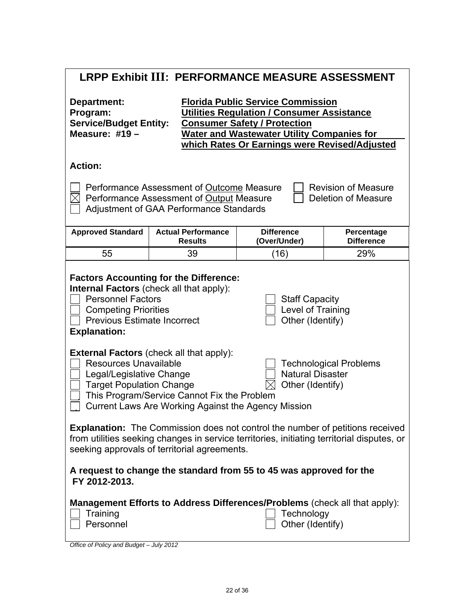| <b>LRPP Exhibit III: PERFORMANCE MEASURE ASSESSMENT</b>                                                                                                                                                                                                                                                                              |                                                                                                                                  |                                                                                                              |                                                   |  |
|--------------------------------------------------------------------------------------------------------------------------------------------------------------------------------------------------------------------------------------------------------------------------------------------------------------------------------------|----------------------------------------------------------------------------------------------------------------------------------|--------------------------------------------------------------------------------------------------------------|---------------------------------------------------|--|
| <b>Florida Public Service Commission</b><br>Department:<br><b>Utilities Regulation / Consumer Assistance</b><br>Program:<br><b>Service/Budget Entity:</b><br><b>Consumer Safety / Protection</b><br>Measure: $\#19-$<br><b>Water and Wastewater Utility Companies for</b><br>which Rates Or Earnings were Revised/Adjusted           |                                                                                                                                  |                                                                                                              |                                                   |  |
| <b>Action:</b>                                                                                                                                                                                                                                                                                                                       |                                                                                                                                  |                                                                                                              |                                                   |  |
|                                                                                                                                                                                                                                                                                                                                      | Performance Assessment of Outcome Measure<br>Performance Assessment of Output Measure<br>Adjustment of GAA Performance Standards |                                                                                                              | <b>Revision of Measure</b><br>Deletion of Measure |  |
| <b>Approved Standard</b>                                                                                                                                                                                                                                                                                                             | <b>Actual Performance</b><br><b>Results</b>                                                                                      | <b>Difference</b><br>(Over/Under)                                                                            | Percentage<br><b>Difference</b>                   |  |
| 55                                                                                                                                                                                                                                                                                                                                   | 39                                                                                                                               | (16)                                                                                                         | 29%                                               |  |
| <b>Factors Accounting for the Difference:</b><br><b>Internal Factors</b> (check all that apply):<br><b>Personnel Factors</b><br><b>Staff Capacity</b><br><b>Competing Priorities</b><br>Level of Training<br><b>Previous Estimate Incorrect</b><br>Other (Identify)<br><b>Explanation:</b>                                           |                                                                                                                                  |                                                                                                              |                                                   |  |
| <b>External Factors (check all that apply):</b><br><b>Resources Unavailable</b><br><b>Technological Problems</b><br><b>Natural Disaster</b><br>Legal/Legislative Change<br><b>Target Population Change</b><br>Other (Identify)<br>This Program/Service Cannot Fix the Problem<br>Current Laws Are Working Against the Agency Mission |                                                                                                                                  |                                                                                                              |                                                   |  |
| <b>Explanation:</b> The Commission does not control the number of petitions received<br>from utilities seeking changes in service territories, initiating territorial disputes, or<br>seeking approvals of territorial agreements.                                                                                                   |                                                                                                                                  |                                                                                                              |                                                   |  |
| A request to change the standard from 55 to 45 was approved for the<br>FY 2012-2013.                                                                                                                                                                                                                                                 |                                                                                                                                  |                                                                                                              |                                                   |  |
| Training<br>Personnel                                                                                                                                                                                                                                                                                                                |                                                                                                                                  | Management Efforts to Address Differences/Problems (check all that apply):<br>Technology<br>Other (Identify) |                                                   |  |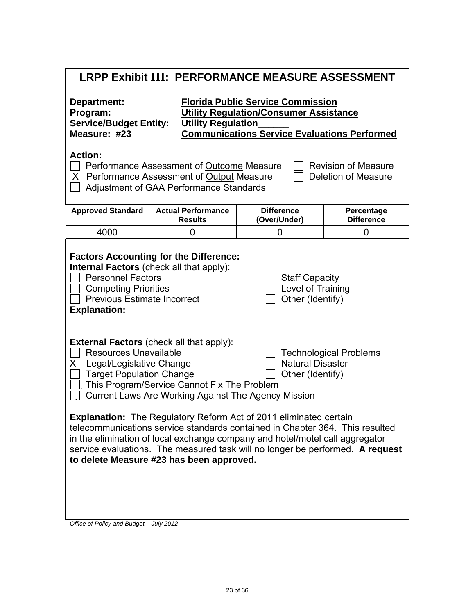|  | LRPP Exhibit III: PERFORMANCE MEASURE ASSESSMENT |
|--|--------------------------------------------------|
|--|--------------------------------------------------|

| Department:<br>Program:<br><b>Service/Budget Entity:</b><br>Measure: #23                                                                                                                                                                                                                                                                                              | <b>Florida Public Service Commission</b><br><b>Utility Regulation/Consumer Assistance</b><br><b>Utility Regulation</b><br><b>Communications Service Evaluations Performed</b> |                                   |                                 |  |
|-----------------------------------------------------------------------------------------------------------------------------------------------------------------------------------------------------------------------------------------------------------------------------------------------------------------------------------------------------------------------|-------------------------------------------------------------------------------------------------------------------------------------------------------------------------------|-----------------------------------|---------------------------------|--|
| <b>Action:</b><br><b>Revision of Measure</b><br>Performance Assessment of Outcome Measure<br>Performance Assessment of Output Measure<br><b>Deletion of Measure</b><br>X<br>Adjustment of GAA Performance Standards                                                                                                                                                   |                                                                                                                                                                               |                                   |                                 |  |
| <b>Approved Standard</b>                                                                                                                                                                                                                                                                                                                                              | <b>Actual Performance</b><br><b>Results</b>                                                                                                                                   | <b>Difference</b><br>(Over/Under) | Percentage<br><b>Difference</b> |  |
| 4000                                                                                                                                                                                                                                                                                                                                                                  | 0                                                                                                                                                                             | 0                                 | 0                               |  |
| <b>Factors Accounting for the Difference:</b><br><b>Internal Factors</b> (check all that apply):<br><b>Personnel Factors</b><br><b>Staff Capacity</b><br>Level of Training<br><b>Competing Priorities</b><br><b>Previous Estimate Incorrect</b><br>Other (Identify)<br><b>Explanation:</b>                                                                            |                                                                                                                                                                               |                                   |                                 |  |
| <b>External Factors (check all that apply):</b><br><b>Resources Unavailable</b><br><b>Technological Problems</b><br><b>Natural Disaster</b><br>Legal/Legislative Change<br>X<br><b>Target Population Change</b><br>Other (Identify)<br>This Program/Service Cannot Fix The Problem<br><b>Current Laws Are Working Against The Agency Mission</b>                      |                                                                                                                                                                               |                                   |                                 |  |
| <b>Explanation:</b> The Regulatory Reform Act of 2011 eliminated certain<br>telecommunications service standards contained in Chapter 364. This resulted<br>in the elimination of local exchange company and hotel/motel call aggregator<br>service evaluations. The measured task will no longer be performed. A request<br>to delete Measure #23 has been approved. |                                                                                                                                                                               |                                   |                                 |  |
|                                                                                                                                                                                                                                                                                                                                                                       |                                                                                                                                                                               |                                   |                                 |  |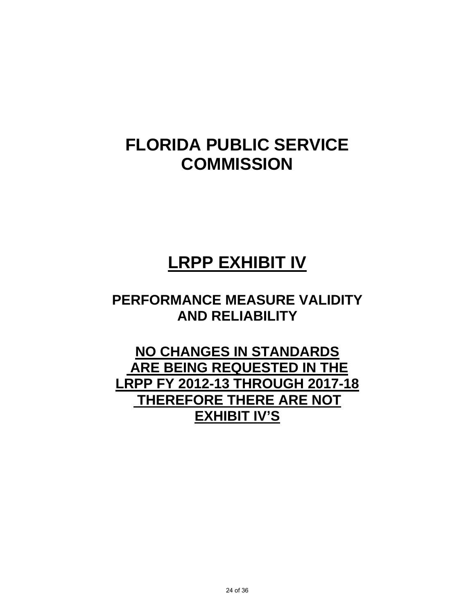# **LRPP EXHIBIT IV**

# **PERFORMANCE MEASURE VALIDITY AND RELIABILITY**

# **NO CHANGES IN STANDARDS ARE BEING REQUESTED IN THE LRPP FY 2012-13 THROUGH 2017-18 THEREFORE THERE ARE NOT EXHIBIT IV'S**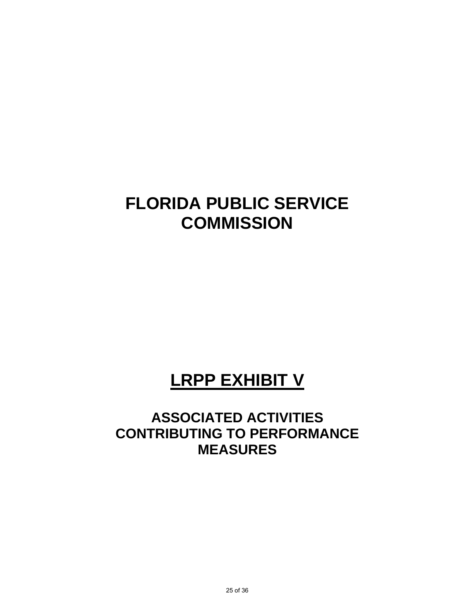# **LRPP EXHIBIT V**

# **ASSOCIATED ACTIVITIES CONTRIBUTING TO PERFORMANCE MEASURES**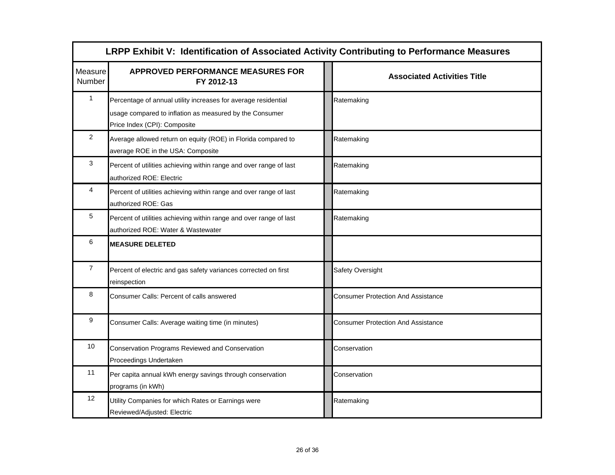|                   | LRPP Exhibit V: Identification of Associated Activity Contributing to Performance Measures                                                                |  |                                           |  |  |
|-------------------|-----------------------------------------------------------------------------------------------------------------------------------------------------------|--|-------------------------------------------|--|--|
| Measure<br>Number | <b>APPROVED PERFORMANCE MEASURES FOR</b><br>FY 2012-13                                                                                                    |  | <b>Associated Activities Title</b>        |  |  |
| 1                 | Percentage of annual utility increases for average residential<br>usage compared to inflation as measured by the Consumer<br>Price Index (CPI): Composite |  | Ratemaking                                |  |  |
| 2                 | Average allowed return on equity (ROE) in Florida compared to<br>average ROE in the USA: Composite                                                        |  | Ratemaking                                |  |  |
| 3                 | Percent of utilities achieving within range and over range of last<br>authorized ROE: Electric                                                            |  | Ratemaking                                |  |  |
| 4                 | Percent of utilities achieving within range and over range of last<br>authorized ROE: Gas                                                                 |  | Ratemaking                                |  |  |
| 5                 | Percent of utilities achieving within range and over range of last<br>authorized ROE: Water & Wastewater                                                  |  | Ratemaking                                |  |  |
| 6                 | <b>MEASURE DELETED</b>                                                                                                                                    |  |                                           |  |  |
| $\overline{7}$    | Percent of electric and gas safety variances corrected on first<br>reinspection                                                                           |  | Safety Oversight                          |  |  |
| 8                 | Consumer Calls: Percent of calls answered                                                                                                                 |  | <b>Consumer Protection And Assistance</b> |  |  |
| 9                 | Consumer Calls: Average waiting time (in minutes)                                                                                                         |  | <b>Consumer Protection And Assistance</b> |  |  |
| 10                | Conservation Programs Reviewed and Conservation<br>Proceedings Undertaken                                                                                 |  | Conservation                              |  |  |
| 11                | Per capita annual kWh energy savings through conservation<br>programs (in kWh)                                                                            |  | Conservation                              |  |  |
| 12                | Utility Companies for which Rates or Earnings were<br>Reviewed/Adjusted: Electric                                                                         |  | Ratemaking                                |  |  |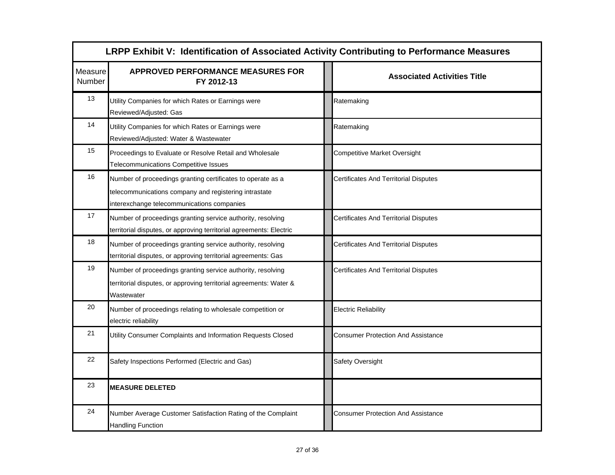|                   | LRPP Exhibit V: Identification of Associated Activity Contributing to Performance Measures                                                                         |                                              |  |  |  |
|-------------------|--------------------------------------------------------------------------------------------------------------------------------------------------------------------|----------------------------------------------|--|--|--|
| Measure<br>Number | <b>APPROVED PERFORMANCE MEASURES FOR</b><br>FY 2012-13                                                                                                             | <b>Associated Activities Title</b>           |  |  |  |
| 13                | Utility Companies for which Rates or Earnings were<br>Reviewed/Adjusted: Gas                                                                                       | Ratemaking                                   |  |  |  |
| 14                | Utility Companies for which Rates or Earnings were<br>Reviewed/Adjusted: Water & Wastewater                                                                        | Ratemaking                                   |  |  |  |
| 15                | Proceedings to Evaluate or Resolve Retail and Wholesale<br>Telecommunications Competitive Issues                                                                   | <b>Competitive Market Oversight</b>          |  |  |  |
| 16                | Number of proceedings granting certificates to operate as a<br>telecommunications company and registering intrastate<br>interexchange telecommunications companies | <b>Certificates And Territorial Disputes</b> |  |  |  |
| 17                | Number of proceedings granting service authority, resolving<br>territorial disputes, or approving territorial agreements: Electric                                 | <b>Certificates And Territorial Disputes</b> |  |  |  |
| 18                | Number of proceedings granting service authority, resolving<br>territorial disputes, or approving territorial agreements: Gas                                      | <b>Certificates And Territorial Disputes</b> |  |  |  |
| 19                | Number of proceedings granting service authority, resolving<br>territorial disputes, or approving territorial agreements: Water &<br>Wastewater                    | <b>Certificates And Territorial Disputes</b> |  |  |  |
| 20                | Number of proceedings relating to wholesale competition or<br>electric reliability                                                                                 | <b>Electric Reliability</b>                  |  |  |  |
| 21                | Utility Consumer Complaints and Information Requests Closed                                                                                                        | <b>Consumer Protection And Assistance</b>    |  |  |  |
| 22                | Safety Inspections Performed (Electric and Gas)                                                                                                                    | Safety Oversight                             |  |  |  |
| 23                | <b>MEASURE DELETED</b>                                                                                                                                             |                                              |  |  |  |
| 24                | Number Average Customer Satisfaction Rating of the Complaint<br><b>Handling Function</b>                                                                           | <b>Consumer Protection And Assistance</b>    |  |  |  |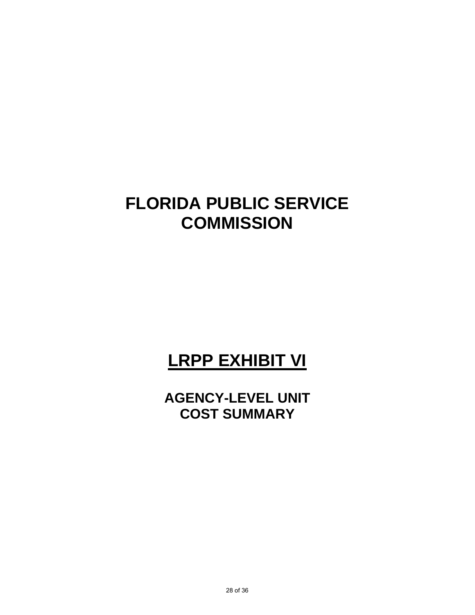# **LRPP EXHIBIT VI**

**AGENCY-LEVEL UNIT COST SUMMARY**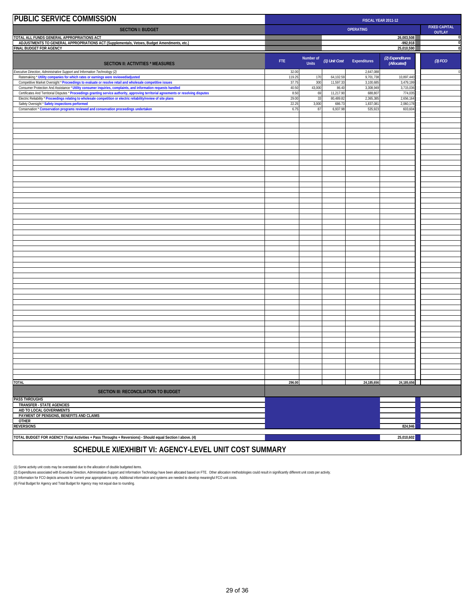| <b>PUBLIC SERVICE COMMISSION</b>                                                                                                                                                                                                                        | FISCAL YEAR 2011-12 |                           |                   |                                       |                                 |           |
|---------------------------------------------------------------------------------------------------------------------------------------------------------------------------------------------------------------------------------------------------------|---------------------|---------------------------|-------------------|---------------------------------------|---------------------------------|-----------|
| <b>SECTION I: BUDGET</b>                                                                                                                                                                                                                                | <b>OPERATING</b>    |                           |                   | <b>FIXED CAPITAL</b><br><b>OUTLAY</b> |                                 |           |
| TOTAL ALL FUNDS GENERAL APPROPRIATIONS ACT                                                                                                                                                                                                              |                     |                           |                   |                                       | 26,003,508                      | 0         |
| ADJUSTMENTS TO GENERAL APPROPRIATIONS ACT (Supplementals, Vetoes, Budget Amendments, etc.)<br>FINAL BUDGET FOR AGENCY                                                                                                                                   |                     |                           |                   |                                       | $-992,918$<br>25,010,590        | 0<br>O    |
| <b>SECTION II: ACTIVITIES * MEASURES</b>                                                                                                                                                                                                                | FTE.                | Number of<br><b>Units</b> | (1) Unit Cost     | Expenditures                          | (2) Expenditures<br>(Allocated) | $(3)$ FCO |
| xecutive Direction, Administrative Support and Information Technology (2)<br>Ratemaking * Utility companies for which rates or earnings were reviewed/adjusted                                                                                          | 32.00<br>119.25     | 170                       | 64,102.5          | 2,647,08<br>9,701,73                  | 10,897,440                      | $\,$ C    |
| Competitive Market Oversight * Proceedings to evaluate or resolve retail and wholesale competitive issues                                                                                                                                               | 37.75               | 300                       | 11,597.3          | 3,100,68                              | 3,479,19                        |           |
| Consumer Protection And Assistance * Utility consumer inquiries, complaints, and information requests handled<br>Certificates And Territorial Disputes * Proceedings granting service authority, approving territorial agreements or resolving disputes | 40.50<br>8.50       | 43,000<br>69              | 86.4<br>11,217.90 | 3,308,949<br>688,80                   | 3,715,036<br>774,03             |           |
| Electric Reliability * Proceedings relating to wholesale competition or electric reliability/review of site plans                                                                                                                                       | 29.00<br>22.25      | 33                        | 80,489.8          | 2,365,38                              | 2,656,16                        |           |
| Safety Oversight * Safety inspections performed<br>Conservation * Conservation programs reviewed and conservation proceedings undertaken                                                                                                                | 6.75                | 3,000<br>87               | 686.7<br>6,937.9  | 1,837,08<br>535,92                    | 2,060,17<br>603,60              |           |
|                                                                                                                                                                                                                                                         |                     |                           |                   |                                       |                                 |           |
|                                                                                                                                                                                                                                                         |                     |                           |                   |                                       |                                 |           |
|                                                                                                                                                                                                                                                         |                     |                           |                   |                                       |                                 |           |
|                                                                                                                                                                                                                                                         |                     |                           |                   |                                       |                                 |           |
|                                                                                                                                                                                                                                                         |                     |                           |                   |                                       |                                 |           |
|                                                                                                                                                                                                                                                         |                     |                           |                   |                                       |                                 |           |
|                                                                                                                                                                                                                                                         |                     |                           |                   |                                       |                                 |           |
|                                                                                                                                                                                                                                                         |                     |                           |                   |                                       |                                 |           |
|                                                                                                                                                                                                                                                         |                     |                           |                   |                                       |                                 |           |
|                                                                                                                                                                                                                                                         |                     |                           |                   |                                       |                                 |           |
|                                                                                                                                                                                                                                                         |                     |                           |                   |                                       |                                 |           |
|                                                                                                                                                                                                                                                         |                     |                           |                   |                                       |                                 |           |
|                                                                                                                                                                                                                                                         |                     |                           |                   |                                       |                                 |           |
|                                                                                                                                                                                                                                                         |                     |                           |                   |                                       |                                 |           |
|                                                                                                                                                                                                                                                         |                     |                           |                   |                                       |                                 |           |
|                                                                                                                                                                                                                                                         |                     |                           |                   |                                       |                                 |           |
|                                                                                                                                                                                                                                                         |                     |                           |                   |                                       |                                 |           |
|                                                                                                                                                                                                                                                         |                     |                           |                   |                                       |                                 |           |
|                                                                                                                                                                                                                                                         |                     |                           |                   |                                       |                                 |           |
|                                                                                                                                                                                                                                                         |                     |                           |                   |                                       |                                 |           |
|                                                                                                                                                                                                                                                         |                     |                           |                   |                                       |                                 |           |
|                                                                                                                                                                                                                                                         |                     |                           |                   |                                       |                                 |           |
|                                                                                                                                                                                                                                                         |                     |                           |                   |                                       |                                 |           |
|                                                                                                                                                                                                                                                         |                     |                           |                   |                                       |                                 |           |
|                                                                                                                                                                                                                                                         |                     |                           |                   |                                       |                                 |           |
|                                                                                                                                                                                                                                                         |                     |                           |                   |                                       |                                 |           |
|                                                                                                                                                                                                                                                         |                     |                           |                   |                                       |                                 |           |
|                                                                                                                                                                                                                                                         |                     |                           |                   |                                       |                                 |           |
|                                                                                                                                                                                                                                                         |                     |                           |                   |                                       |                                 |           |
|                                                                                                                                                                                                                                                         |                     |                           |                   |                                       |                                 |           |
|                                                                                                                                                                                                                                                         |                     |                           |                   |                                       |                                 |           |
|                                                                                                                                                                                                                                                         |                     |                           |                   |                                       |                                 |           |
| <b>TOTAL</b>                                                                                                                                                                                                                                            | 296.00              |                           |                   | 24, 185, 656                          | 24,185,656                      |           |
| <b>SECTION III: RECONCILIATION TO BUDGET</b>                                                                                                                                                                                                            |                     |                           |                   |                                       |                                 |           |
| <b>PASS THROUGHS</b><br><b>TRANSFER - STATE AGENCIES</b>                                                                                                                                                                                                |                     |                           |                   |                                       |                                 |           |
| AID TO LOCAL GOVERNMENTS                                                                                                                                                                                                                                |                     |                           |                   |                                       |                                 |           |
| PAYMENT OF PENSIONS, BENEFITS AND CLAIMS<br><b>OTHER</b>                                                                                                                                                                                                |                     |                           |                   |                                       |                                 |           |
| <b>REVERSIONS</b>                                                                                                                                                                                                                                       |                     |                           |                   |                                       | 824,946                         |           |
| TOTAL BUDGET FOR AGENCY (Total Activities + Pass Throughs + Reversions) - Should equal Section I above. (4)                                                                                                                                             |                     |                           |                   |                                       | 25,010,602                      |           |
|                                                                                                                                                                                                                                                         |                     |                           |                   |                                       |                                 |           |
| SCHEDULE XI/EXHIBIT VI: AGENCY-LEVEL UNIT COST SUMMARY                                                                                                                                                                                                  |                     |                           |                   |                                       |                                 |           |

(1) Some activity unit costs may be overstated due to the allocation of double budgeted items.<br>(2) Expenditures associated with Executive Direction, Administrative Support and hindemation Technology have been allocated bas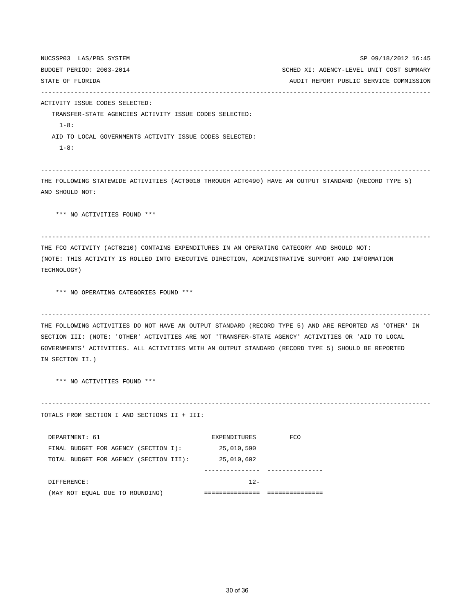NUCSSP03 LAS/PBS SYSTEM SP 09/18/2012 16:45 BUDGET PERIOD: 2003-2014 SCHED XI: AGENCY-LEVEL UNIT COST SUMMARY STATE OF FLORIDA AUDIT REPORT PUBLIC SERVICE COMMISSION --------------------------------------------------------------------------------------------------------- ACTIVITY ISSUE CODES SELECTED: TRANSFER-STATE AGENCIES ACTIVITY ISSUE CODES SELECTED: 1-8: AID TO LOCAL GOVERNMENTS ACTIVITY ISSUE CODES SELECTED:  $1 - 8:$ --------------------------------------------------------------------------------------------------------- THE FOLLOWING STATEWIDE ACTIVITIES (ACT0010 THROUGH ACT0490) HAVE AN OUTPUT STANDARD (RECORD TYPE 5) AND SHOULD NOT: \*\*\* NO ACTIVITIES FOUND \*\*\* --------------------------------------------------------------------------------------------------------- THE FCO ACTIVITY (ACT0210) CONTAINS EXPENDITURES IN AN OPERATING CATEGORY AND SHOULD NOT: (NOTE: THIS ACTIVITY IS ROLLED INTO EXECUTIVE DIRECTION, ADMINISTRATIVE SUPPORT AND INFORMATION TECHNOLOGY) \*\*\* NO OPERATING CATEGORIES FOUND \*\*\* --------------------------------------------------------------------------------------------------------- THE FOLLOWING ACTIVITIES DO NOT HAVE AN OUTPUT STANDARD (RECORD TYPE 5) AND ARE REPORTED AS 'OTHER' IN SECTION III: (NOTE: 'OTHER' ACTIVITIES ARE NOT 'TRANSFER-STATE AGENCY' ACTIVITIES OR 'AID TO LOCAL GOVERNMENTS' ACTIVITIES. ALL ACTIVITIES WITH AN OUTPUT STANDARD (RECORD TYPE 5) SHOULD BE REPORTED IN SECTION II.) \*\*\* NO ACTIVITIES FOUND \*\*\* --------------------------------------------------------------------------------------------------------- TOTALS FROM SECTION I AND SECTIONS II + III: DEPARTMENT: 61 EXPENDITURES FCO FINAL BUDGET FOR AGENCY (SECTION I): 25,010,590 TOTAL BUDGET FOR AGENCY (SECTION III): 25,010,602 --------------- --------------- DIFFERENCE: 12-

(MAY NOT EQUAL DUE TO ROUNDING) =============== ===============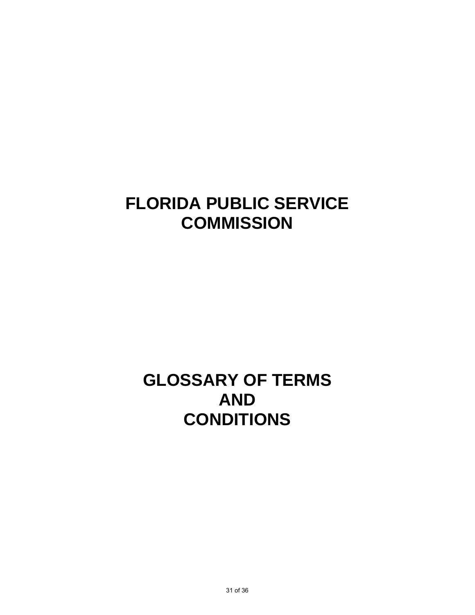# **GLOSSARY OF TERMS AND CONDITIONS**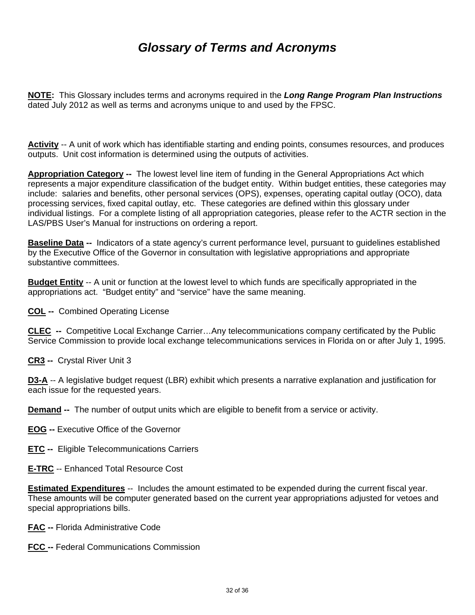**NOTE:** This Glossary includes terms and acronyms required in the *Long Range Program Plan Instructions* dated July 2012 as well as terms and acronyms unique to and used by the FPSC.

**Activity** -- A unit of work which has identifiable starting and ending points, consumes resources, and produces outputs. Unit cost information is determined using the outputs of activities.

**Appropriation Category --** The lowest level line item of funding in the General Appropriations Act which represents a major expenditure classification of the budget entity. Within budget entities, these categories may include: salaries and benefits, other personal services (OPS), expenses, operating capital outlay (OCO), data processing services, fixed capital outlay, etc. These categories are defined within this glossary under individual listings. For a complete listing of all appropriation categories, please refer to the ACTR section in the LAS/PBS User's Manual for instructions on ordering a report.

**Baseline Data --** Indicators of a state agency's current performance level, pursuant to guidelines established by the Executive Office of the Governor in consultation with legislative appropriations and appropriate substantive committees.

**Budget Entity** -- A unit or function at the lowest level to which funds are specifically appropriated in the appropriations act. "Budget entity" and "service" have the same meaning.

**COL --** Combined Operating License

**CLEC --** Competitive Local Exchange Carrier…Any telecommunications company certificated by the Public Service Commission to provide local exchange telecommunications services in Florida on or after July 1, 1995.

**CR3 --** Crystal River Unit 3

**D3-A** -- A legislative budget request (LBR) exhibit which presents a narrative explanation and justification for each issue for the requested years.

**Demand --** The number of output units which are eligible to benefit from a service or activity.

**EOG --** Executive Office of the Governor

**ETC --** Eligible Telecommunications Carriers

**E-TRC** -- Enhanced Total Resource Cost

**Estimated Expenditures** -- Includes the amount estimated to be expended during the current fiscal year. These amounts will be computer generated based on the current year appropriations adjusted for vetoes and special appropriations bills.

**FAC --** Florida Administrative Code

**FCC --** Federal Communications Commission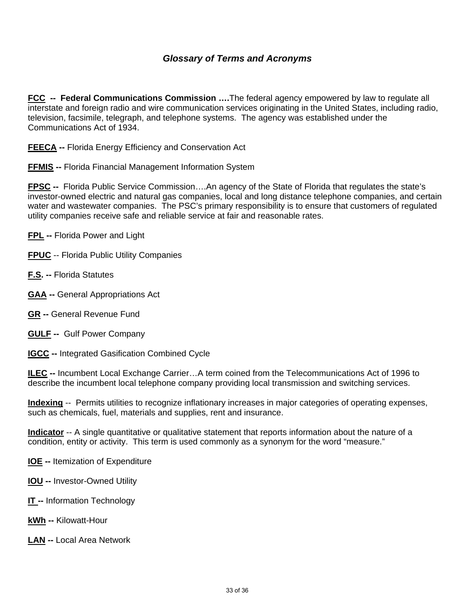**FCC -- Federal Communications Commission ….**The federal agency empowered by law to regulate all interstate and foreign radio and wire communication services originating in the United States, including radio, television, facsimile, telegraph, and telephone systems. The agency was established under the Communications Act of 1934.

**FEECA --** Florida Energy Efficiency and Conservation Act

**FFMIS --** Florida Financial Management Information System

**FPSC --** Florida Public Service Commission….An agency of the State of Florida that regulates the state's investor-owned electric and natural gas companies, local and long distance telephone companies, and certain water and wastewater companies. The PSC's primary responsibility is to ensure that customers of regulated utility companies receive safe and reliable service at fair and reasonable rates.

**FPL --** Florida Power and Light

**FPUC** -- Florida Public Utility Companies

- **F.S. --** Florida Statutes
- **GAA --** General Appropriations Act
- **GR --** General Revenue Fund
- **GULF --** Gulf Power Company
- **IGCC --** Integrated Gasification Combined Cycle

**ILEC --** Incumbent Local Exchange Carrier…A term coined from the Telecommunications Act of 1996 to describe the incumbent local telephone company providing local transmission and switching services.

**Indexing** -- Permits utilities to recognize inflationary increases in major categories of operating expenses, such as chemicals, fuel, materials and supplies, rent and insurance.

**Indicator** -- A single quantitative or qualitative statement that reports information about the nature of a condition, entity or activity. This term is used commonly as a synonym for the word "measure."

**IOE --** Itemization of Expenditure

- **IOU --** Investor-Owned Utility
- **IT -- Information Technology**
- **kWh --** Kilowatt-Hour
- **LAN --** Local Area Network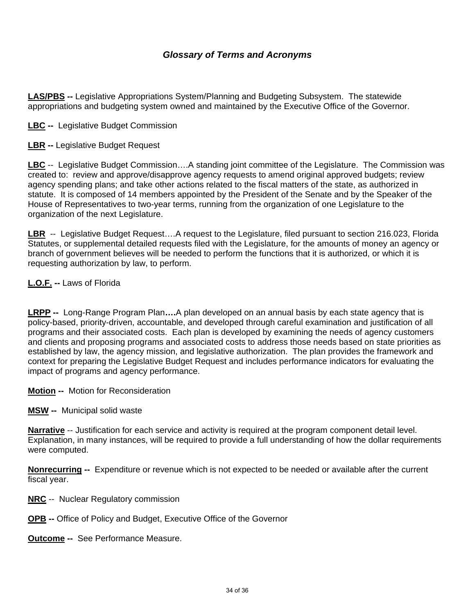**LAS/PBS --** Legislative Appropriations System/Planning and Budgeting Subsystem. The statewide appropriations and budgeting system owned and maintained by the Executive Office of the Governor.

**LBC --** Legislative Budget Commission

**LBR --** Legislative Budget Request

**LBC** -- Legislative Budget Commission….A standing joint committee of the Legislature. The Commission was created to: review and approve/disapprove agency requests to amend original approved budgets; review agency spending plans; and take other actions related to the fiscal matters of the state, as authorized in statute. It is composed of 14 members appointed by the President of the Senate and by the Speaker of the House of Representatives to two-year terms, running from the organization of one Legislature to the organization of the next Legislature.

**LBR** -- Legislative Budget Request….A request to the Legislature, filed pursuant to section 216.023, Florida Statutes, or supplemental detailed requests filed with the Legislature, for the amounts of money an agency or branch of government believes will be needed to perform the functions that it is authorized, or which it is requesting authorization by law, to perform.

**L.O.F. --** Laws of Florida

**LRPP --** Long-Range Program Plan**….**A plan developed on an annual basis by each state agency that is policy-based, priority-driven, accountable, and developed through careful examination and justification of all programs and their associated costs. Each plan is developed by examining the needs of agency customers and clients and proposing programs and associated costs to address those needs based on state priorities as established by law, the agency mission, and legislative authorization. The plan provides the framework and context for preparing the Legislative Budget Request and includes performance indicators for evaluating the impact of programs and agency performance.

**Motion --** Motion for Reconsideration

**MSW --** Municipal solid waste

**Narrative** -- Justification for each service and activity is required at the program component detail level. Explanation, in many instances, will be required to provide a full understanding of how the dollar requirements were computed.

**Nonrecurring --** Expenditure or revenue which is not expected to be needed or available after the current fiscal year.

- **NRC** -- Nuclear Regulatory commission
- **OPB --** Office of Policy and Budget, Executive Office of the Governor

**Outcome --** See Performance Measure.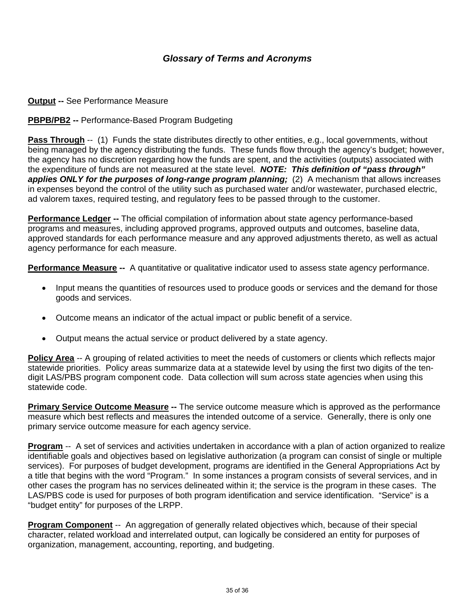#### **Output -- See Performance Measure**

#### **PBPB/PB2 --** Performance-Based Program Budgeting

**Pass Through** -- (1) Funds the state distributes directly to other entities, e.g., local governments, without being managed by the agency distributing the funds. These funds flow through the agency's budget; however, the agency has no discretion regarding how the funds are spent, and the activities (outputs) associated with the expenditure of funds are not measured at the state level. *NOTE: This definition of "pass through" applies ONLY for the purposes of long-range program planning;* (2) A mechanism that allows increases in expenses beyond the control of the utility such as purchased water and/or wastewater, purchased electric, ad valorem taxes, required testing, and regulatory fees to be passed through to the customer.

**Performance Ledger --** The official compilation of information about state agency performance-based programs and measures, including approved programs, approved outputs and outcomes, baseline data, approved standards for each performance measure and any approved adjustments thereto, as well as actual agency performance for each measure.

**Performance Measure --** A quantitative or qualitative indicator used to assess state agency performance.

- Input means the quantities of resources used to produce goods or services and the demand for those goods and services.
- Outcome means an indicator of the actual impact or public benefit of a service.
- Output means the actual service or product delivered by a state agency.

**Policy Area** -- A grouping of related activities to meet the needs of customers or clients which reflects major statewide priorities. Policy areas summarize data at a statewide level by using the first two digits of the tendigit LAS/PBS program component code. Data collection will sum across state agencies when using this statewide code.

**Primary Service Outcome Measure --** The service outcome measure which is approved as the performance measure which best reflects and measures the intended outcome of a service. Generally, there is only one primary service outcome measure for each agency service.

**Program** -- A set of services and activities undertaken in accordance with a plan of action organized to realize identifiable goals and objectives based on legislative authorization (a program can consist of single or multiple services). For purposes of budget development, programs are identified in the General Appropriations Act by a title that begins with the word "Program." In some instances a program consists of several services, and in other cases the program has no services delineated within it; the service is the program in these cases. The LAS/PBS code is used for purposes of both program identification and service identification. "Service" is a "budget entity" for purposes of the LRPP.

**Program Component** -- An aggregation of generally related objectives which, because of their special character, related workload and interrelated output, can logically be considered an entity for purposes of organization, management, accounting, reporting, and budgeting.